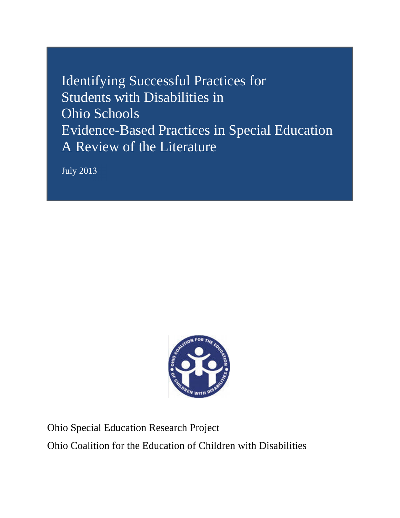Identifying Successful Practices for Students with Disabilities in Ohio Schools Evidence-Based Practices in Special Education A Review of the Literature

July 2013



Ohio Special Education Research Project

Ohio Coalition for the Education of Children with Disabilities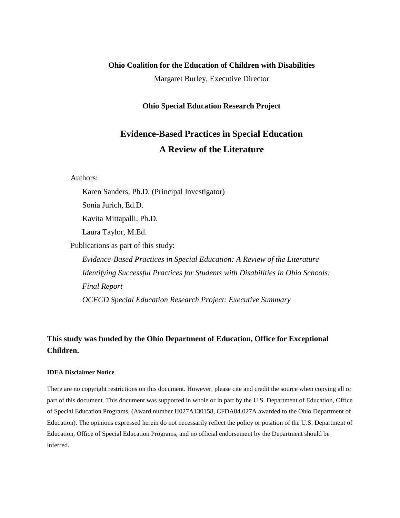### **Ohio Coalition for the Education of Children with Disabilities**

Margaret Burley, Executive Director

#### **Ohio Special Education Research Project**

# **Evidence-Based Practices in Special Education A Review of the Literature**

Authors:

Karen Sanders, Ph.D. (Principal Investigator)

Sonia Jurich, Ed.D.

Kavita Mittapalli, Ph.D.

Laura Taylor, M.Ed.

Publications as part of this study:

*Evidence-Based Practices in Special Education: A Review of the Literature Identifying Successful Practices for Students with Disabilities in Ohio Schools: Final Report OCECD Special Education Research Project: Executive Summary* 

# **This study was funded by the Ohio Department of Education, Office for Exceptional Children.**

#### **IDEA Disclaimer Notice**

There are no copyright restrictions on this document. However, please cite and credit the source when copying all or part of this document. This document was supported in whole or in part by the U.S. Department of Education, Office of Special Education Programs, (Award number H027A130158, CFDA84.027A awarded to the Ohio Department of Education). The opinions expressed herein do not necessarily reflect the policy or position of the U.S. Department of Education, Office of Special Education Programs, and no official endorsement by the Department should be inferred.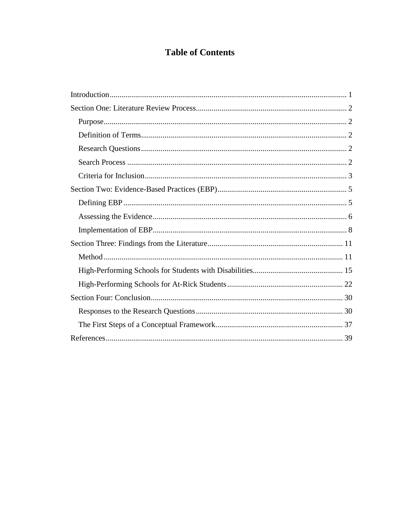# **Table of Contents**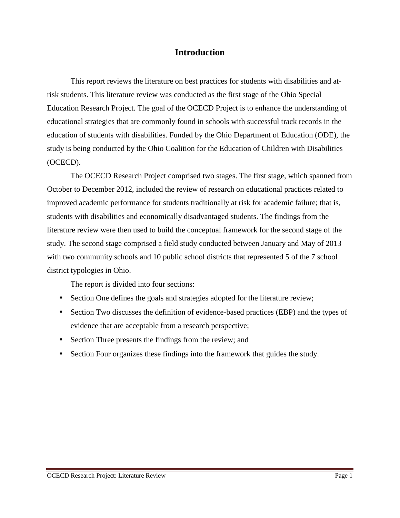# **Introduction**

This report reviews the literature on best practices for students with disabilities and atrisk students. This literature review was conducted as the first stage of the Ohio Special Education Research Project. The goal of the OCECD Project is to enhance the understanding of educational strategies that are commonly found in schools with successful track records in the education of students with disabilities. Funded by the Ohio Department of Education (ODE), the study is being conducted by the Ohio Coalition for the Education of Children with Disabilities (OCECD).

The OCECD Research Project comprised two stages. The first stage, which spanned from October to December 2012, included the review of research on educational practices related to improved academic performance for students traditionally at risk for academic failure; that is, students with disabilities and economically disadvantaged students. The findings from the literature review were then used to build the conceptual framework for the second stage of the study. The second stage comprised a field study conducted between January and May of 2013 with two community schools and 10 public school districts that represented 5 of the 7 school district typologies in Ohio.

The report is divided into four sections:

- Section One defines the goals and strategies adopted for the literature review;
- Section Two discusses the definition of evidence-based practices (EBP) and the types of evidence that are acceptable from a research perspective;
- Section Three presents the findings from the review; and
- Section Four organizes these findings into the framework that guides the study.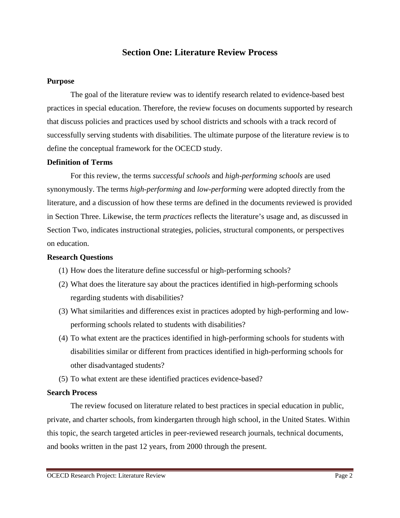# **Section One: Literature Review Process**

### **Purpose**

The goal of the literature review was to identify research related to evidence-based best practices in special education. Therefore, the review focuses on documents supported by research that discuss policies and practices used by school districts and schools with a track record of successfully serving students with disabilities. The ultimate purpose of the literature review is to define the conceptual framework for the OCECD study.

### **Definition of Terms**

For this review, the terms *successful schools* and *high-performing schools* are used synonymously. The terms *high-performing* and *low-performing* were adopted directly from the literature, and a discussion of how these terms are defined in the documents reviewed is provided in Section Three. Likewise, the term *practices* reflects the literature's usage and, as discussed in Section Two, indicates instructional strategies, policies, structural components, or perspectives on education.

### **Research Questions**

- (1) How does the literature define successful or high-performing schools?
- (2) What does the literature say about the practices identified in high-performing schools regarding students with disabilities?
- (3) What similarities and differences exist in practices adopted by high-performing and lowperforming schools related to students with disabilities?
- (4) To what extent are the practices identified in high-performing schools for students with disabilities similar or different from practices identified in high-performing schools for other disadvantaged students?
- (5) To what extent are these identified practices evidence-based?

### **Search Process**

The review focused on literature related to best practices in special education in public, private, and charter schools, from kindergarten through high school, in the United States. Within this topic, the search targeted articles in peer-reviewed research journals, technical documents, and books written in the past 12 years, from 2000 through the present.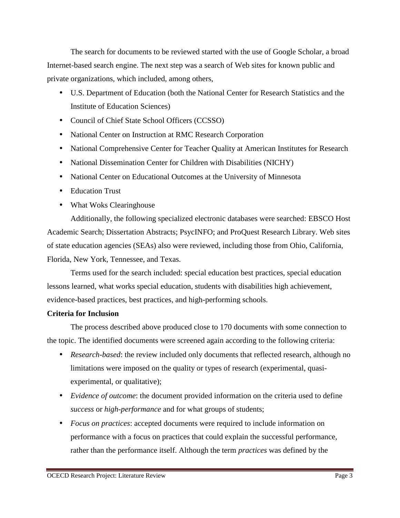The search for documents to be reviewed started with the use of Google Scholar, a broad Internet-based search engine. The next step was a search of Web sites for known public and private organizations, which included, among others,

- U.S. Department of Education (both the National Center for Research Statistics and the Institute of Education Sciences)
- Council of Chief State School Officers (CCSSO)
- National Center on Instruction at RMC Research Corporation
- National Comprehensive Center for Teacher Quality at American Institutes for Research
- National Dissemination Center for Children with Disabilities (NICHY)
- National Center on Educational Outcomes at the University of Minnesota
- Education Trust
- What Woks Clearinghouse

Additionally, the following specialized electronic databases were searched: EBSCO Host Academic Search; Dissertation Abstracts; PsycINFO; and ProQuest Research Library. Web sites of state education agencies (SEAs) also were reviewed, including those from Ohio, California, Florida, New York, Tennessee, and Texas.

Terms used for the search included: special education best practices, special education lessons learned, what works special education, students with disabilities high achievement, evidence-based practices, best practices, and high-performing schools.

# **Criteria for Inclusion**

The process described above produced close to 170 documents with some connection to the topic. The identified documents were screened again according to the following criteria:

- *Research-based*: the review included only documents that reflected research, although no limitations were imposed on the quality or types of research (experimental, quasiexperimental, or qualitative);
- *Evidence of outcome*: the document provided information on the criteria used to define *success* or *high-performance* and for what groups of students;
- *Focus on practices*: accepted documents were required to include information on performance with a focus on practices that could explain the successful performance, rather than the performance itself. Although the term *practices* was defined by the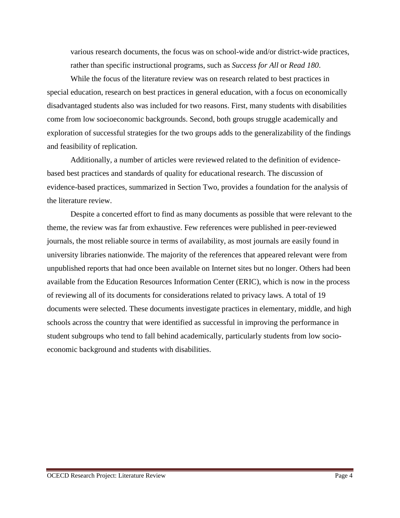various research documents, the focus was on school-wide and/or district-wide practices, rather than specific instructional programs, such as *Success for All* or *Read 180*.

While the focus of the literature review was on research related to best practices in special education, research on best practices in general education, with a focus on economically disadvantaged students also was included for two reasons. First, many students with disabilities come from low socioeconomic backgrounds. Second, both groups struggle academically and exploration of successful strategies for the two groups adds to the generalizability of the findings and feasibility of replication.

Additionally, a number of articles were reviewed related to the definition of evidencebased best practices and standards of quality for educational research. The discussion of evidence-based practices, summarized in Section Two, provides a foundation for the analysis of the literature review.

Despite a concerted effort to find as many documents as possible that were relevant to the theme, the review was far from exhaustive. Few references were published in peer-reviewed journals, the most reliable source in terms of availability, as most journals are easily found in university libraries nationwide. The majority of the references that appeared relevant were from unpublished reports that had once been available on Internet sites but no longer. Others had been available from the Education Resources Information Center (ERIC), which is now in the process of reviewing all of its documents for considerations related to privacy laws. A total of 19 documents were selected. These documents investigate practices in elementary, middle, and high schools across the country that were identified as successful in improving the performance in student subgroups who tend to fall behind academically, particularly students from low socioeconomic background and students with disabilities.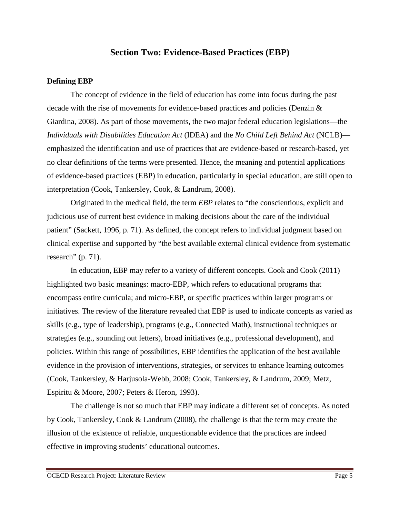# **Section Two: Evidence-Based Practices (EBP)**

### **Defining EBP**

The concept of evidence in the field of education has come into focus during the past decade with the rise of movements for evidence-based practices and policies (Denzin & Giardina, 2008). As part of those movements, the two major federal education legislations—the *Individuals with Disabilities Education Act* (IDEA) and the *No Child Left Behind Act* (NCLB) emphasized the identification and use of practices that are evidence-based or research-based, yet no clear definitions of the terms were presented. Hence, the meaning and potential applications of evidence-based practices (EBP) in education, particularly in special education, are still open to interpretation (Cook, Tankersley, Cook, & Landrum, 2008).

Originated in the medical field, the term *EBP* relates to "the conscientious, explicit and judicious use of current best evidence in making decisions about the care of the individual patient" (Sackett, 1996, p. 71). As defined, the concept refers to individual judgment based on clinical expertise and supported by "the best available external clinical evidence from systematic research" (p. 71).

In education, EBP may refer to a variety of different concepts. Cook and Cook (2011) highlighted two basic meanings: macro-EBP, which refers to educational programs that encompass entire curricula; and micro-EBP, or specific practices within larger programs or initiatives. The review of the literature revealed that EBP is used to indicate concepts as varied as skills (e.g., type of leadership), programs (e.g., Connected Math), instructional techniques or strategies (e.g., sounding out letters), broad initiatives (e.g., professional development), and policies. Within this range of possibilities, EBP identifies the application of the best available evidence in the provision of interventions, strategies, or services to enhance learning outcomes (Cook, Tankersley, & Harjusola-Webb, 2008; Cook, Tankersley, & Landrum, 2009; Metz, Espiritu & Moore, 2007; Peters & Heron, 1993).

The challenge is not so much that EBP may indicate a different set of concepts. As noted by Cook, Tankersley, Cook & Landrum (2008), the challenge is that the term may create the illusion of the existence of reliable, unquestionable evidence that the practices are indeed effective in improving students' educational outcomes.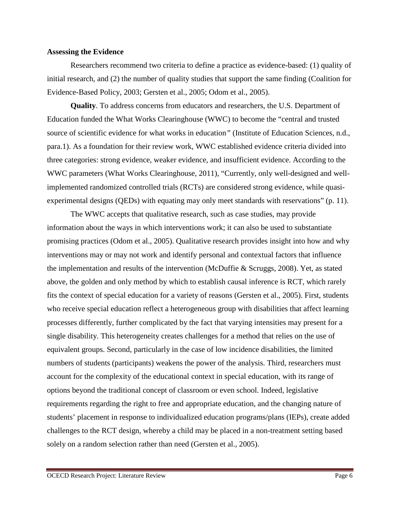#### **Assessing the Evidence**

Researchers recommend two criteria to define a practice as evidence-based: (1) quality of initial research, and (2) the number of quality studies that support the same finding (Coalition for Evidence-Based Policy, 2003; Gersten et al., 2005; Odom et al., 2005).

**Quality**. To address concerns from educators and researchers, the U.S. Department of Education funded the What Works Clearinghouse (WWC) to become the "central and trusted source of scientific evidence for what works in education*"* (Institute of Education Sciences, n.d., para.1). As a foundation for their review work, WWC established evidence criteria divided into three categories: strong evidence, weaker evidence, and insufficient evidence. According to the WWC parameters (What Works Clearinghouse, 2011), "Currently, only well-designed and wellimplemented randomized controlled trials (RCTs) are considered strong evidence, while quasiexperimental designs (QEDs) with equating may only meet standards with reservations" (p. 11).

The WWC accepts that qualitative research, such as case studies, may provide information about the ways in which interventions work; it can also be used to substantiate promising practices (Odom et al., 2005). Qualitative research provides insight into how and why interventions may or may not work and identify personal and contextual factors that influence the implementation and results of the intervention (McDuffie & Scruggs, 2008). Yet, as stated above, the golden and only method by which to establish causal inference is RCT, which rarely fits the context of special education for a variety of reasons (Gersten et al., 2005). First, students who receive special education reflect a heterogeneous group with disabilities that affect learning processes differently, further complicated by the fact that varying intensities may present for a single disability. This heterogeneity creates challenges for a method that relies on the use of equivalent groups. Second, particularly in the case of low incidence disabilities, the limited numbers of students (participants) weakens the power of the analysis. Third, researchers must account for the complexity of the educational context in special education, with its range of options beyond the traditional concept of classroom or even school. Indeed, legislative requirements regarding the right to free and appropriate education, and the changing nature of students' placement in response to individualized education programs/plans (IEPs), create added challenges to the RCT design, whereby a child may be placed in a non-treatment setting based solely on a random selection rather than need (Gersten et al., 2005).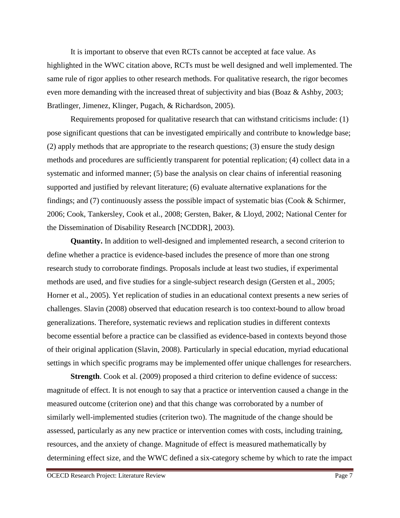It is important to observe that even RCTs cannot be accepted at face value. As highlighted in the WWC citation above, RCTs must be well designed and well implemented. The same rule of rigor applies to other research methods. For qualitative research, the rigor becomes even more demanding with the increased threat of subjectivity and bias (Boaz & Ashby, 2003; Bratlinger, Jimenez, Klinger, Pugach, & Richardson, 2005).

Requirements proposed for qualitative research that can withstand criticisms include: (1) pose significant questions that can be investigated empirically and contribute to knowledge base; (2) apply methods that are appropriate to the research questions; (3) ensure the study design methods and procedures are sufficiently transparent for potential replication; (4) collect data in a systematic and informed manner; (5) base the analysis on clear chains of inferential reasoning supported and justified by relevant literature; (6) evaluate alternative explanations for the findings; and (7) continuously assess the possible impact of systematic bias (Cook & Schirmer, 2006; Cook, Tankersley, Cook et al., 2008; Gersten, Baker, & Lloyd, 2002; National Center for the Dissemination of Disability Research [NCDDR], 2003).

**Quantity.** In addition to well-designed and implemented research, a second criterion to define whether a practice is evidence-based includes the presence of more than one strong research study to corroborate findings. Proposals include at least two studies, if experimental methods are used, and five studies for a single-subject research design (Gersten et al., 2005; Horner et al., 2005). Yet replication of studies in an educational context presents a new series of challenges. Slavin (2008) observed that education research is too context-bound to allow broad generalizations. Therefore, systematic reviews and replication studies in different contexts become essential before a practice can be classified as evidence-based in contexts beyond those of their original application (Slavin, 2008). Particularly in special education, myriad educational settings in which specific programs may be implemented offer unique challenges for researchers.

**Strength**. Cook et al. (2009) proposed a third criterion to define evidence of success: magnitude of effect. It is not enough to say that a practice or intervention caused a change in the measured outcome (criterion one) and that this change was corroborated by a number of similarly well-implemented studies (criterion two). The magnitude of the change should be assessed, particularly as any new practice or intervention comes with costs, including training, resources, and the anxiety of change. Magnitude of effect is measured mathematically by determining effect size, and the WWC defined a six-category scheme by which to rate the impact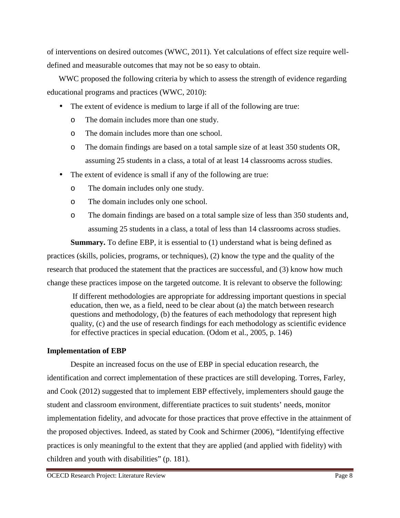of interventions on desired outcomes (WWC, 2011). Yet calculations of effect size require welldefined and measurable outcomes that may not be so easy to obtain.

WWC proposed the following criteria by which to assess the strength of evidence regarding educational programs and practices (WWC, 2010):

- The extent of evidence is medium to large if all of the following are true:
	- o The domain includes more than one study.
	- o The domain includes more than one school.
	- o The domain findings are based on a total sample size of at least 350 students OR, assuming 25 students in a class, a total of at least 14 classrooms across studies.
- The extent of evidence is small if any of the following are true:
	- o The domain includes only one study.
	- o The domain includes only one school.
	- o The domain findings are based on a total sample size of less than 350 students and, assuming 25 students in a class, a total of less than 14 classrooms across studies.

**Summary.** To define EBP, it is essential to (1) understand what is being defined as practices (skills, policies, programs, or techniques), (2) know the type and the quality of the research that produced the statement that the practices are successful, and (3) know how much change these practices impose on the targeted outcome. It is relevant to observe the following:

If different methodologies are appropriate for addressing important questions in special education, then we, as a field, need to be clear about (a) the match between research questions and methodology, (b) the features of each methodology that represent high quality, (c) and the use of research findings for each methodology as scientific evidence for effective practices in special education. (Odom et al., 2005, p. 146)

## **Implementation of EBP**

Despite an increased focus on the use of EBP in special education research, the identification and correct implementation of these practices are still developing. Torres, Farley, and Cook (2012) suggested that to implement EBP effectively, implementers should gauge the student and classroom environment, differentiate practices to suit students' needs, monitor implementation fidelity, and advocate for those practices that prove effective in the attainment of the proposed objectives. Indeed, as stated by Cook and Schirmer (2006), "Identifying effective practices is only meaningful to the extent that they are applied (and applied with fidelity) with children and youth with disabilities" (p. 181).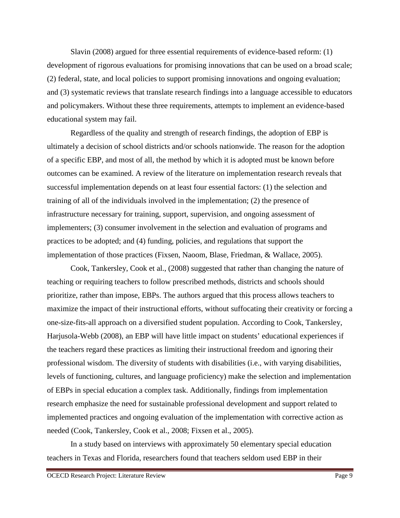Slavin (2008) argued for three essential requirements of evidence-based reform: (1) development of rigorous evaluations for promising innovations that can be used on a broad scale; (2) federal, state, and local policies to support promising innovations and ongoing evaluation; and (3) systematic reviews that translate research findings into a language accessible to educators and policymakers. Without these three requirements, attempts to implement an evidence-based educational system may fail.

Regardless of the quality and strength of research findings, the adoption of EBP is ultimately a decision of school districts and/or schools nationwide. The reason for the adoption of a specific EBP, and most of all, the method by which it is adopted must be known before outcomes can be examined. A review of the literature on implementation research reveals that successful implementation depends on at least four essential factors: (1) the selection and training of all of the individuals involved in the implementation; (2) the presence of infrastructure necessary for training, support, supervision, and ongoing assessment of implementers; (3) consumer involvement in the selection and evaluation of programs and practices to be adopted; and (4) funding, policies, and regulations that support the implementation of those practices (Fixsen, Naoom, Blase, Friedman, & Wallace, 2005).

Cook, Tankersley, Cook et al., (2008) suggested that rather than changing the nature of teaching or requiring teachers to follow prescribed methods, districts and schools should prioritize, rather than impose, EBPs. The authors argued that this process allows teachers to maximize the impact of their instructional efforts, without suffocating their creativity or forcing a one-size-fits-all approach on a diversified student population. According to Cook, Tankersley, Harjusola-Webb (2008), an EBP will have little impact on students' educational experiences if the teachers regard these practices as limiting their instructional freedom and ignoring their professional wisdom. The diversity of students with disabilities (i.e., with varying disabilities, levels of functioning, cultures, and language proficiency) make the selection and implementation of EBPs in special education a complex task. Additionally, findings from implementation research emphasize the need for sustainable professional development and support related to implemented practices and ongoing evaluation of the implementation with corrective action as needed (Cook, Tankersley, Cook et al., 2008; Fixsen et al., 2005).

In a study based on interviews with approximately 50 elementary special education teachers in Texas and Florida, researchers found that teachers seldom used EBP in their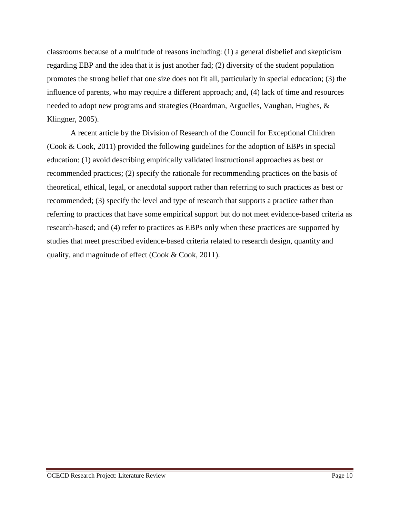classrooms because of a multitude of reasons including: (1) a general disbelief and skepticism regarding EBP and the idea that it is just another fad; (2) diversity of the student population promotes the strong belief that one size does not fit all, particularly in special education; (3) the influence of parents, who may require a different approach; and, (4) lack of time and resources needed to adopt new programs and strategies (Boardman, Arguelles, Vaughan, Hughes, & Klingner, 2005).

A recent article by the Division of Research of the Council for Exceptional Children (Cook & Cook, 2011) provided the following guidelines for the adoption of EBPs in special education: (1) avoid describing empirically validated instructional approaches as best or recommended practices; (2) specify the rationale for recommending practices on the basis of theoretical, ethical, legal, or anecdotal support rather than referring to such practices as best or recommended; (3) specify the level and type of research that supports a practice rather than referring to practices that have some empirical support but do not meet evidence-based criteria as research-based; and (4) refer to practices as EBPs only when these practices are supported by studies that meet prescribed evidence-based criteria related to research design, quantity and quality, and magnitude of effect (Cook & Cook, 2011).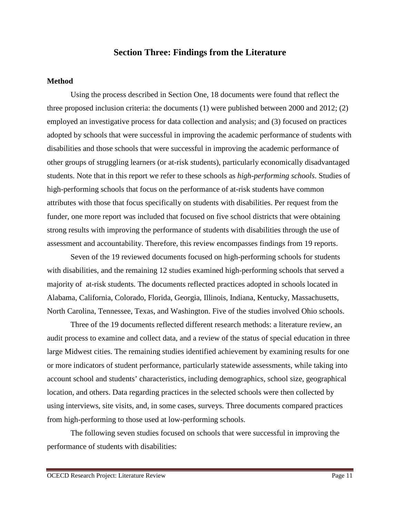## **Section Three: Findings from the Literature**

#### **Method**

Using the process described in Section One, 18 documents were found that reflect the three proposed inclusion criteria: the documents (1) were published between 2000 and 2012; (2) employed an investigative process for data collection and analysis; and (3) focused on practices adopted by schools that were successful in improving the academic performance of students with disabilities and those schools that were successful in improving the academic performance of other groups of struggling learners (or at-risk students), particularly economically disadvantaged students. Note that in this report we refer to these schools as *high-performing schools*. Studies of high-performing schools that focus on the performance of at-risk students have common attributes with those that focus specifically on students with disabilities. Per request from the funder, one more report was included that focused on five school districts that were obtaining strong results with improving the performance of students with disabilities through the use of assessment and accountability. Therefore, this review encompasses findings from 19 reports.

Seven of the 19 reviewed documents focused on high-performing schools for students with disabilities, and the remaining 12 studies examined high-performing schools that served a majority of at-risk students. The documents reflected practices adopted in schools located in Alabama, California, Colorado, Florida, Georgia, Illinois, Indiana, Kentucky, Massachusetts, North Carolina, Tennessee, Texas, and Washington. Five of the studies involved Ohio schools.

Three of the 19 documents reflected different research methods: a literature review, an audit process to examine and collect data, and a review of the status of special education in three large Midwest cities. The remaining studies identified achievement by examining results for one or more indicators of student performance, particularly statewide assessments, while taking into account school and students' characteristics, including demographics, school size, geographical location, and others. Data regarding practices in the selected schools were then collected by using interviews, site visits, and, in some cases, surveys. Three documents compared practices from high-performing to those used at low-performing schools.

The following seven studies focused on schools that were successful in improving the performance of students with disabilities: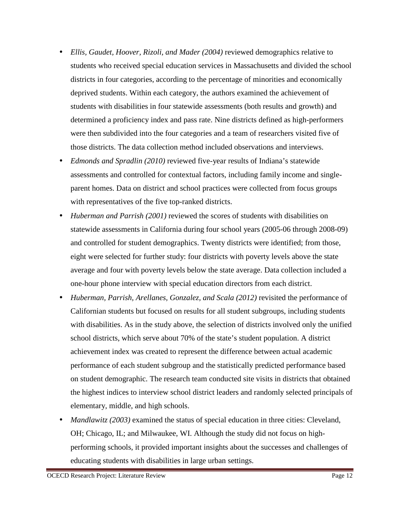- *Ellis, Gaudet, Hoover, Rizoli, and Mader (2004)* reviewed demographics relative to students who received special education services in Massachusetts and divided the school districts in four categories, according to the percentage of minorities and economically deprived students. Within each category, the authors examined the achievement of students with disabilities in four statewide assessments (both results and growth) and determined a proficiency index and pass rate. Nine districts defined as high-performers were then subdivided into the four categories and a team of researchers visited five of those districts. The data collection method included observations and interviews.
- *Edmonds and Spradlin (2010)* reviewed five-year results of Indiana's statewide assessments and controlled for contextual factors, including family income and singleparent homes. Data on district and school practices were collected from focus groups with representatives of the five top-ranked districts.
- *Huberman and Parrish (2001)* reviewed the scores of students with disabilities on statewide assessments in California during four school years (2005-06 through 2008-09) and controlled for student demographics. Twenty districts were identified; from those, eight were selected for further study: four districts with poverty levels above the state average and four with poverty levels below the state average. Data collection included a one-hour phone interview with special education directors from each district.
- *Huberman, Parrish, Arellanes, Gonzalez, and Scala (2012)* revisited the performance of Californian students but focused on results for all student subgroups, including students with disabilities. As in the study above, the selection of districts involved only the unified school districts, which serve about 70% of the state's student population. A district achievement index was created to represent the difference between actual academic performance of each student subgroup and the statistically predicted performance based on student demographic. The research team conducted site visits in districts that obtained the highest indices to interview school district leaders and randomly selected principals of elementary, middle, and high schools.
- *Mandlawitz* (2003) examined the status of special education in three cities: Cleveland, OH; Chicago, IL; and Milwaukee, WI. Although the study did not focus on highperforming schools, it provided important insights about the successes and challenges of educating students with disabilities in large urban settings.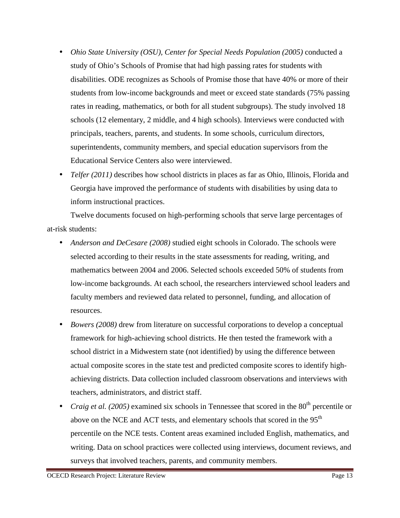- *Ohio State University (OSU), Center for Special Needs Population (2005)* conducted a study of Ohio's Schools of Promise that had high passing rates for students with disabilities. ODE recognizes as Schools of Promise those that have 40% or more of their students from low-income backgrounds and meet or exceed state standards (75% passing rates in reading, mathematics, or both for all student subgroups). The study involved 18 schools (12 elementary, 2 middle, and 4 high schools). Interviews were conducted with principals, teachers, parents, and students. In some schools, curriculum directors, superintendents, community members, and special education supervisors from the Educational Service Centers also were interviewed.
- *Telfer (2011)* describes how school districts in places as far as Ohio, Illinois, Florida and Georgia have improved the performance of students with disabilities by using data to inform instructional practices.

Twelve documents focused on high-performing schools that serve large percentages of at-risk students:

- *Anderson and DeCesare (2008)* studied eight schools in Colorado. The schools were selected according to their results in the state assessments for reading, writing, and mathematics between 2004 and 2006. Selected schools exceeded 50% of students from low-income backgrounds. At each school, the researchers interviewed school leaders and faculty members and reviewed data related to personnel, funding, and allocation of resources.
- *Bowers (2008)* drew from literature on successful corporations to develop a conceptual framework for high-achieving school districts. He then tested the framework with a school district in a Midwestern state (not identified) by using the difference between actual composite scores in the state test and predicted composite scores to identify highachieving districts. Data collection included classroom observations and interviews with teachers, administrators, and district staff.
- *Craig et al.* (2005) examined six schools in Tennessee that scored in the  $80<sup>th</sup>$  percentile or above on the NCE and ACT tests, and elementary schools that scored in the 95<sup>th</sup> percentile on the NCE tests. Content areas examined included English, mathematics, and writing. Data on school practices were collected using interviews, document reviews, and surveys that involved teachers, parents, and community members.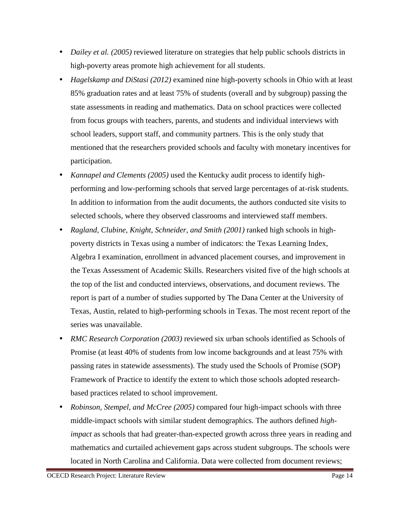- *Dailey et al.* (2005) reviewed literature on strategies that help public schools districts in high-poverty areas promote high achievement for all students.
- *Hagelskamp and DiStasi (2012)* examined nine high-poverty schools in Ohio with at least 85% graduation rates and at least 75% of students (overall and by subgroup) passing the state assessments in reading and mathematics. Data on school practices were collected from focus groups with teachers, parents, and students and individual interviews with school leaders, support staff, and community partners. This is the only study that mentioned that the researchers provided schools and faculty with monetary incentives for participation.
- *Kannapel and Clements (2005)* used the Kentucky audit process to identify highperforming and low-performing schools that served large percentages of at-risk students. In addition to information from the audit documents, the authors conducted site visits to selected schools, where they observed classrooms and interviewed staff members.
- *Ragland, Clubine, Knight, Schneider, and Smith (2001)* ranked high schools in highpoverty districts in Texas using a number of indicators: the Texas Learning Index, Algebra I examination, enrollment in advanced placement courses, and improvement in the Texas Assessment of Academic Skills. Researchers visited five of the high schools at the top of the list and conducted interviews, observations, and document reviews. The report is part of a number of studies supported by The Dana Center at the University of Texas, Austin, related to high-performing schools in Texas. The most recent report of the series was unavailable.
- *RMC Research Corporation (2003)* reviewed six urban schools identified as Schools of Promise (at least 40% of students from low income backgrounds and at least 75% with passing rates in statewide assessments). The study used the Schools of Promise (SOP) Framework of Practice to identify the extent to which those schools adopted researchbased practices related to school improvement.
- *Robinson, Stempel, and McCree (2005)* compared four high-impact schools with three middle-impact schools with similar student demographics. The authors defined *highimpact* as schools that had greater-than-expected growth across three years in reading and mathematics and curtailed achievement gaps across student subgroups. The schools were located in North Carolina and California. Data were collected from document reviews;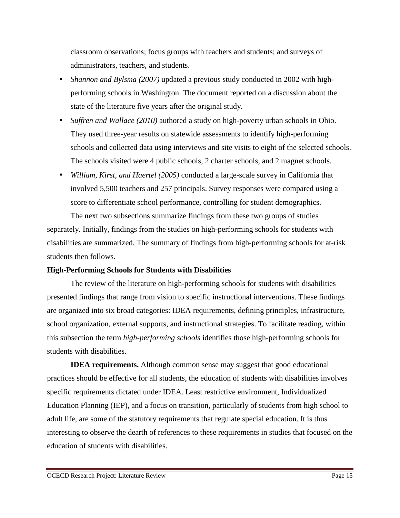classroom observations; focus groups with teachers and students; and surveys of administrators, teachers, and students.

- *Shannon and Bylsma (2007)* updated a previous study conducted in 2002 with highperforming schools in Washington. The document reported on a discussion about the state of the literature five years after the original study.
- *Suffren and Wallace (2010)* authored a study on high-poverty urban schools in Ohio. They used three-year results on statewide assessments to identify high-performing schools and collected data using interviews and site visits to eight of the selected schools. The schools visited were 4 public schools, 2 charter schools, and 2 magnet schools.
- *William, Kirst, and Haertel (2005)* conducted a large-scale survey in California that involved 5,500 teachers and 257 principals. Survey responses were compared using a score to differentiate school performance, controlling for student demographics. The next two subsections summarize findings from these two groups of studies

separately. Initially, findings from the studies on high-performing schools for students with disabilities are summarized. The summary of findings from high-performing schools for at-risk students then follows.

### **High-Performing Schools for Students with Disabilities**

The review of the literature on high-performing schools for students with disabilities presented findings that range from vision to specific instructional interventions. These findings are organized into six broad categories: IDEA requirements, defining principles, infrastructure, school organization, external supports, and instructional strategies. To facilitate reading, within this subsection the term *high-performing schools* identifies those high-performing schools for students with disabilities.

**IDEA requirements.** Although common sense may suggest that good educational practices should be effective for all students, the education of students with disabilities involves specific requirements dictated under IDEA. Least restrictive environment, Individualized Education Planning (IEP), and a focus on transition, particularly of students from high school to adult life, are some of the statutory requirements that regulate special education. It is thus interesting to observe the dearth of references to these requirements in studies that focused on the education of students with disabilities.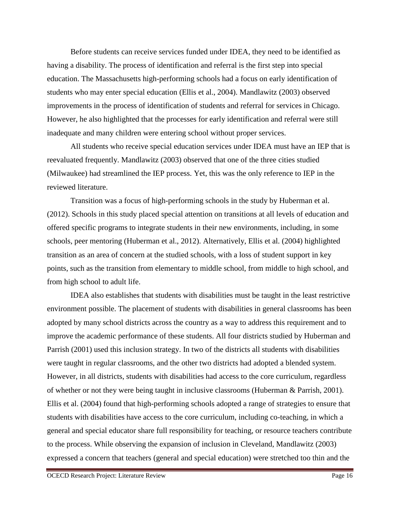Before students can receive services funded under IDEA, they need to be identified as having a disability. The process of identification and referral is the first step into special education. The Massachusetts high-performing schools had a focus on early identification of students who may enter special education (Ellis et al., 2004). Mandlawitz (2003) observed improvements in the process of identification of students and referral for services in Chicago. However, he also highlighted that the processes for early identification and referral were still inadequate and many children were entering school without proper services.

All students who receive special education services under IDEA must have an IEP that is reevaluated frequently. Mandlawitz (2003) observed that one of the three cities studied (Milwaukee) had streamlined the IEP process. Yet, this was the only reference to IEP in the reviewed literature.

Transition was a focus of high-performing schools in the study by Huberman et al. (2012). Schools in this study placed special attention on transitions at all levels of education and offered specific programs to integrate students in their new environments, including, in some schools, peer mentoring (Huberman et al., 2012). Alternatively, Ellis et al. (2004) highlighted transition as an area of concern at the studied schools, with a loss of student support in key points, such as the transition from elementary to middle school, from middle to high school, and from high school to adult life.

IDEA also establishes that students with disabilities must be taught in the least restrictive environment possible. The placement of students with disabilities in general classrooms has been adopted by many school districts across the country as a way to address this requirement and to improve the academic performance of these students. All four districts studied by Huberman and Parrish (2001) used this inclusion strategy. In two of the districts all students with disabilities were taught in regular classrooms, and the other two districts had adopted a blended system. However, in all districts, students with disabilities had access to the core curriculum, regardless of whether or not they were being taught in inclusive classrooms (Huberman & Parrish, 2001). Ellis et al. (2004) found that high-performing schools adopted a range of strategies to ensure that students with disabilities have access to the core curriculum, including co-teaching, in which a general and special educator share full responsibility for teaching, or resource teachers contribute to the process. While observing the expansion of inclusion in Cleveland, Mandlawitz (2003) expressed a concern that teachers (general and special education) were stretched too thin and the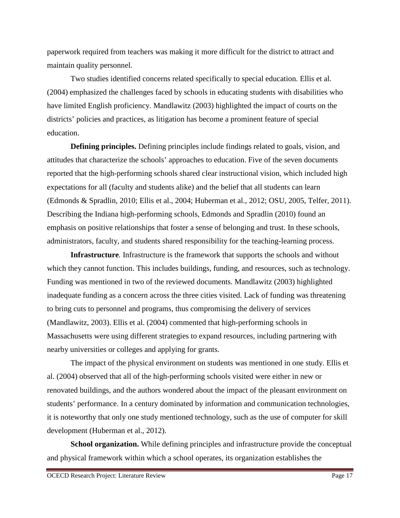paperwork required from teachers was making it more difficult for the district to attract and maintain quality personnel.

Two studies identified concerns related specifically to special education. Ellis et al. (2004) emphasized the challenges faced by schools in educating students with disabilities who have limited English proficiency. Mandlawitz (2003) highlighted the impact of courts on the districts' policies and practices, as litigation has become a prominent feature of special education.

**Defining principles.** Defining principles include findings related to goals, vision, and attitudes that characterize the schools' approaches to education. Five of the seven documents reported that the high-performing schools shared clear instructional vision, which included high expectations for all (faculty and students alike) and the belief that all students can learn (Edmonds & Spradlin, 2010; Ellis et al., 2004; Huberman et al., 2012; OSU, 2005, Telfer, 2011). Describing the Indiana high-performing schools, Edmonds and Spradlin (2010) found an emphasis on positive relationships that foster a sense of belonging and trust. In these schools, administrators, faculty, and students shared responsibility for the teaching-learning process.

**Infrastructure***.* Infrastructure is the framework that supports the schools and without which they cannot function. This includes buildings, funding, and resources, such as technology. Funding was mentioned in two of the reviewed documents. Mandlawitz (2003) highlighted inadequate funding as a concern across the three cities visited. Lack of funding was threatening to bring cuts to personnel and programs, thus compromising the delivery of services (Mandlawitz, 2003). Ellis et al. (2004) commented that high-performing schools in Massachusetts were using different strategies to expand resources, including partnering with nearby universities or colleges and applying for grants.

The impact of the physical environment on students was mentioned in one study. Ellis et al. (2004) observed that all of the high-performing schools visited were either in new or renovated buildings, and the authors wondered about the impact of the pleasant environment on students' performance. In a century dominated by information and communication technologies, it is noteworthy that only one study mentioned technology, such as the use of computer for skill development (Huberman et al., 2012).

**School organization.** While defining principles and infrastructure provide the conceptual and physical framework within which a school operates, its organization establishes the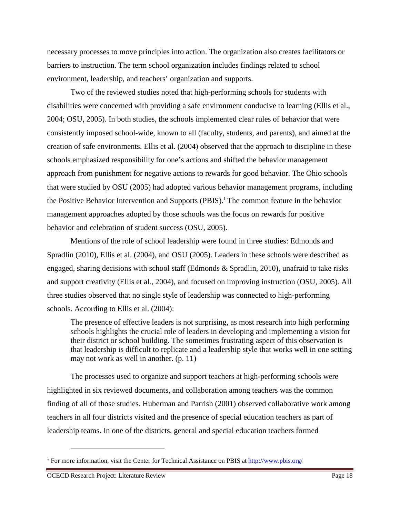necessary processes to move principles into action. The organization also creates facilitators or barriers to instruction. The term school organization includes findings related to school environment, leadership, and teachers' organization and supports.

Two of the reviewed studies noted that high-performing schools for students with disabilities were concerned with providing a safe environment conducive to learning (Ellis et al., 2004; OSU, 2005). In both studies, the schools implemented clear rules of behavior that were consistently imposed school-wide, known to all (faculty, students, and parents), and aimed at the creation of safe environments. Ellis et al. (2004) observed that the approach to discipline in these schools emphasized responsibility for one's actions and shifted the behavior management approach from punishment for negative actions to rewards for good behavior. The Ohio schools that were studied by OSU (2005) had adopted various behavior management programs, including the Positive Behavior Intervention and Supports (PBIS).<sup>1</sup> The common feature in the behavior management approaches adopted by those schools was the focus on rewards for positive behavior and celebration of student success (OSU, 2005).

Mentions of the role of school leadership were found in three studies: Edmonds and Spradlin (2010), Ellis et al. (2004), and OSU (2005). Leaders in these schools were described as engaged, sharing decisions with school staff (Edmonds & Spradlin, 2010), unafraid to take risks and support creativity (Ellis et al., 2004), and focused on improving instruction (OSU, 2005). All three studies observed that no single style of leadership was connected to high-performing schools. According to Ellis et al. (2004):

The presence of effective leaders is not surprising, as most research into high performing schools highlights the crucial role of leaders in developing and implementing a vision for their district or school building. The sometimes frustrating aspect of this observation is that leadership is difficult to replicate and a leadership style that works well in one setting may not work as well in another. (p. 11)

The processes used to organize and support teachers at high-performing schools were highlighted in six reviewed documents, and collaboration among teachers was the common finding of all of those studies. Huberman and Parrish (2001) observed collaborative work among teachers in all four districts visited and the presence of special education teachers as part of leadership teams. In one of the districts, general and special education teachers formed

 $\overline{a}$ 

<sup>&</sup>lt;sup>1</sup> For more information, visit the Center for Technical Assistance on PBIS at http://www.pbis.org/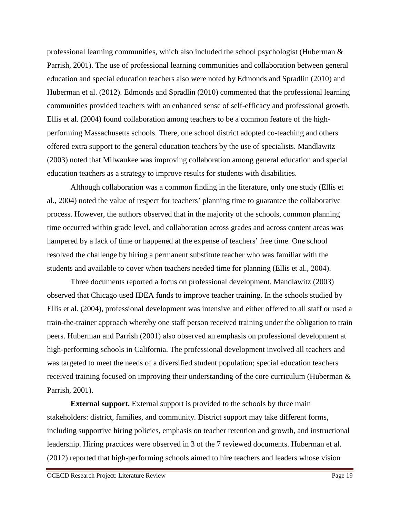professional learning communities, which also included the school psychologist (Huberman  $\&$ Parrish, 2001). The use of professional learning communities and collaboration between general education and special education teachers also were noted by Edmonds and Spradlin (2010) and Huberman et al. (2012). Edmonds and Spradlin (2010) commented that the professional learning communities provided teachers with an enhanced sense of self-efficacy and professional growth. Ellis et al. (2004) found collaboration among teachers to be a common feature of the highperforming Massachusetts schools. There, one school district adopted co-teaching and others offered extra support to the general education teachers by the use of specialists. Mandlawitz (2003) noted that Milwaukee was improving collaboration among general education and special education teachers as a strategy to improve results for students with disabilities.

Although collaboration was a common finding in the literature, only one study (Ellis et al., 2004) noted the value of respect for teachers' planning time to guarantee the collaborative process. However, the authors observed that in the majority of the schools, common planning time occurred within grade level, and collaboration across grades and across content areas was hampered by a lack of time or happened at the expense of teachers' free time. One school resolved the challenge by hiring a permanent substitute teacher who was familiar with the students and available to cover when teachers needed time for planning (Ellis et al., 2004).

Three documents reported a focus on professional development. Mandlawitz (2003) observed that Chicago used IDEA funds to improve teacher training. In the schools studied by Ellis et al. (2004), professional development was intensive and either offered to all staff or used a train-the-trainer approach whereby one staff person received training under the obligation to train peers. Huberman and Parrish (2001) also observed an emphasis on professional development at high-performing schools in California. The professional development involved all teachers and was targeted to meet the needs of a diversified student population; special education teachers received training focused on improving their understanding of the core curriculum (Huberman & Parrish, 2001).

**External support.** External support is provided to the schools by three main stakeholders: district, families, and community. District support may take different forms, including supportive hiring policies, emphasis on teacher retention and growth, and instructional leadership. Hiring practices were observed in 3 of the 7 reviewed documents. Huberman et al. (2012) reported that high-performing schools aimed to hire teachers and leaders whose vision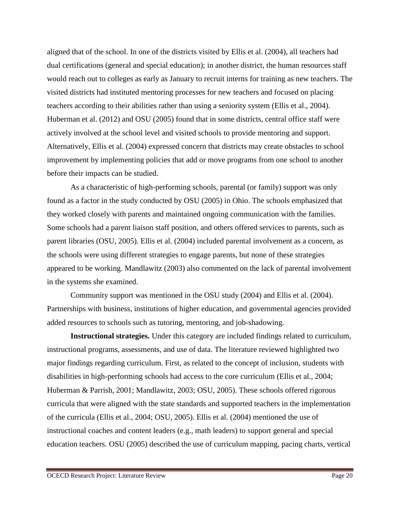aligned that of the school. In one of the districts visited by Ellis et al. (2004), all teachers had dual certifications (general and special education); in another district, the human resources staff would reach out to colleges as early as January to recruit interns for training as new teachers. The visited districts had instituted mentoring processes for new teachers and focused on placing teachers according to their abilities rather than using a seniority system (Ellis et al., 2004). Huberman et al. (2012) and OSU (2005) found that in some districts, central office staff were actively involved at the school level and visited schools to provide mentoring and support. Alternatively, Ellis et al. (2004) expressed concern that districts may create obstacles to school improvement by implementing policies that add or move programs from one school to another before their impacts can be studied.

As a characteristic of high-performing schools, parental (or family) support was only found as a factor in the study conducted by OSU (2005) in Ohio. The schools emphasized that they worked closely with parents and maintained ongoing communication with the families. Some schools had a parent liaison staff position, and others offered services to parents, such as parent libraries (OSU, 2005). Ellis et al. (2004) included parental involvement as a concern, as the schools were using different strategies to engage parents, but none of these strategies appeared to be working. Mandlawitz (2003) also commented on the lack of parental involvement in the systems she examined.

Community support was mentioned in the OSU study (2004) and Ellis et al. (2004). Partnerships with business, institutions of higher education, and governmental agencies provided added resources to schools such as tutoring, mentoring, and job-shadowing.

**Instructional strategies.** Under this category are included findings related to curriculum, instructional programs, assessments, and use of data. The literature reviewed highlighted two major findings regarding curriculum. First, as related to the concept of inclusion, students with disabilities in high-performing schools had access to the core curriculum (Ellis et al., 2004; Huberman & Parrish, 2001; Mandlawitz, 2003; OSU, 2005). These schools offered rigorous curricula that were aligned with the state standards and supported teachers in the implementation of the curricula (Ellis et al., 2004; OSU, 2005). Ellis et al. (2004) mentioned the use of instructional coaches and content leaders (e.g., math leaders) to support general and special education teachers. OSU (2005) described the use of curriculum mapping, pacing charts, vertical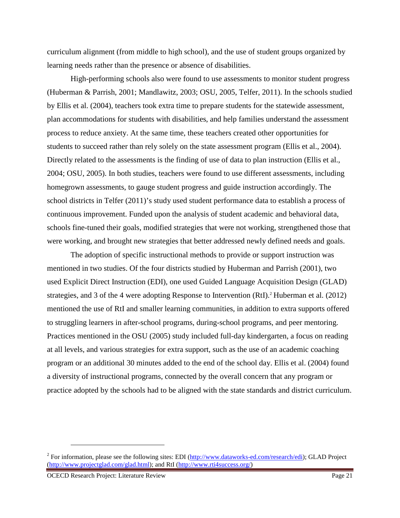curriculum alignment (from middle to high school), and the use of student groups organized by learning needs rather than the presence or absence of disabilities.

High-performing schools also were found to use assessments to monitor student progress (Huberman & Parrish, 2001; Mandlawitz, 2003; OSU, 2005, Telfer, 2011). In the schools studied by Ellis et al. (2004), teachers took extra time to prepare students for the statewide assessment, plan accommodations for students with disabilities, and help families understand the assessment process to reduce anxiety. At the same time, these teachers created other opportunities for students to succeed rather than rely solely on the state assessment program (Ellis et al., 2004). Directly related to the assessments is the finding of use of data to plan instruction (Ellis et al., 2004; OSU, 2005). In both studies, teachers were found to use different assessments, including homegrown assessments, to gauge student progress and guide instruction accordingly. The school districts in Telfer (2011)'s study used student performance data to establish a process of continuous improvement. Funded upon the analysis of student academic and behavioral data, schools fine-tuned their goals, modified strategies that were not working, strengthened those that were working, and brought new strategies that better addressed newly defined needs and goals.

The adoption of specific instructional methods to provide or support instruction was mentioned in two studies. Of the four districts studied by Huberman and Parrish (2001), two used Explicit Direct Instruction (EDI), one used Guided Language Acquisition Design (GLAD) strategies, and 3 of the 4 were adopting Response to Intervention (RtI).<sup>2</sup> Huberman et al. (2012) mentioned the use of RtI and smaller learning communities, in addition to extra supports offered to struggling learners in after-school programs, during-school programs, and peer mentoring. Practices mentioned in the OSU (2005) study included full-day kindergarten, a focus on reading at all levels, and various strategies for extra support, such as the use of an academic coaching program or an additional 30 minutes added to the end of the school day. Ellis et al. (2004) found a diversity of instructional programs, connected by the overall concern that any program or practice adopted by the schools had to be aligned with the state standards and district curriculum.

<u>.</u>

<sup>&</sup>lt;sup>2</sup> For information, please see the following sites: EDI (http://www.dataworks-ed.com/research/edi); GLAD Project (http://www.projectglad.com/glad.html); and RtI (http://www.rti4success.org/)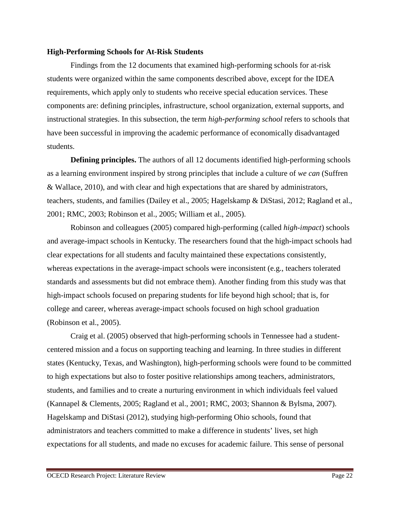### **High-Performing Schools for At-Risk Students**

Findings from the 12 documents that examined high-performing schools for at-risk students were organized within the same components described above, except for the IDEA requirements, which apply only to students who receive special education services. These components are: defining principles, infrastructure, school organization, external supports, and instructional strategies. In this subsection, the term *high-performing school* refers to schools that have been successful in improving the academic performance of economically disadvantaged students.

**Defining principles.** The authors of all 12 documents identified high-performing schools as a learning environment inspired by strong principles that include a culture of *we can* (Suffren & Wallace, 2010), and with clear and high expectations that are shared by administrators, teachers, students, and families (Dailey et al., 2005; Hagelskamp & DiStasi, 2012; Ragland et al., 2001; RMC, 2003; Robinson et al., 2005; William et al., 2005).

Robinson and colleagues (2005) compared high-performing (called *high-impact*) schools and average-impact schools in Kentucky. The researchers found that the high-impact schools had clear expectations for all students and faculty maintained these expectations consistently, whereas expectations in the average-impact schools were inconsistent (e.g., teachers tolerated standards and assessments but did not embrace them). Another finding from this study was that high-impact schools focused on preparing students for life beyond high school; that is, for college and career, whereas average-impact schools focused on high school graduation (Robinson et al., 2005).

Craig et al. (2005) observed that high-performing schools in Tennessee had a studentcentered mission and a focus on supporting teaching and learning. In three studies in different states (Kentucky, Texas, and Washington), high-performing schools were found to be committed to high expectations but also to foster positive relationships among teachers, administrators, students, and families and to create a nurturing environment in which individuals feel valued (Kannapel & Clements, 2005; Ragland et al., 2001; RMC, 2003; Shannon & Bylsma, 2007). Hagelskamp and DiStasi (2012), studying high-performing Ohio schools, found that administrators and teachers committed to make a difference in students' lives, set high expectations for all students, and made no excuses for academic failure. This sense of personal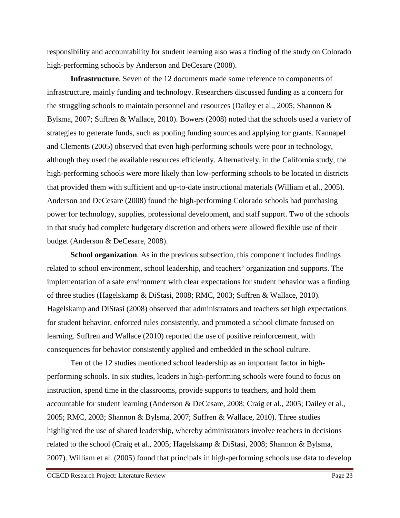responsibility and accountability for student learning also was a finding of the study on Colorado high-performing schools by Anderson and DeCesare (2008).

**Infrastructure**. Seven of the 12 documents made some reference to components of infrastructure, mainly funding and technology. Researchers discussed funding as a concern for the struggling schools to maintain personnel and resources (Dailey et al., 2005; Shannon & Bylsma, 2007; Suffren & Wallace, 2010). Bowers (2008) noted that the schools used a variety of strategies to generate funds, such as pooling funding sources and applying for grants. Kannapel and Clements (2005) observed that even high-performing schools were poor in technology, although they used the available resources efficiently. Alternatively, in the California study, the high-performing schools were more likely than low-performing schools to be located in districts that provided them with sufficient and up-to-date instructional materials (William et al., 2005). Anderson and DeCesare (2008) found the high-performing Colorado schools had purchasing power for technology, supplies, professional development, and staff support. Two of the schools in that study had complete budgetary discretion and others were allowed flexible use of their budget (Anderson & DeCesare, 2008).

**School organization**. As in the previous subsection, this component includes findings related to school environment, school leadership, and teachers' organization and supports. The implementation of a safe environment with clear expectations for student behavior was a finding of three studies (Hagelskamp & DiStasi, 2008; RMC, 2003; Suffren & Wallace, 2010). Hagelskamp and DiStasi (2008) observed that administrators and teachers set high expectations for student behavior, enforced rules consistently, and promoted a school climate focused on learning. Suffren and Wallace (2010) reported the use of positive reinforcement, with consequences for behavior consistently applied and embedded in the school culture.

Ten of the 12 studies mentioned school leadership as an important factor in highperforming schools. In six studies, leaders in high-performing schools were found to focus on instruction, spend time in the classrooms, provide supports to teachers, and hold them accountable for student learning (Anderson & DeCesare, 2008; Craig et al., 2005; Dailey et al., 2005; RMC, 2003; Shannon & Bylsma, 2007; Suffren & Wallace, 2010). Three studies highlighted the use of shared leadership, whereby administrators involve teachers in decisions related to the school (Craig et al., 2005; Hagelskamp & DiStasi, 2008; Shannon & Bylsma, 2007). William et al. (2005) found that principals in high-performing schools use data to develop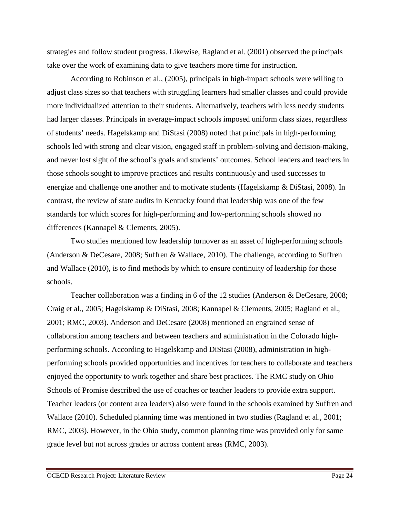strategies and follow student progress. Likewise, Ragland et al. (2001) observed the principals take over the work of examining data to give teachers more time for instruction.

According to Robinson et al., (2005), principals in high-impact schools were willing to adjust class sizes so that teachers with struggling learners had smaller classes and could provide more individualized attention to their students. Alternatively, teachers with less needy students had larger classes. Principals in average-impact schools imposed uniform class sizes, regardless of students' needs. Hagelskamp and DiStasi (2008) noted that principals in high-performing schools led with strong and clear vision, engaged staff in problem-solving and decision-making, and never lost sight of the school's goals and students' outcomes. School leaders and teachers in those schools sought to improve practices and results continuously and used successes to energize and challenge one another and to motivate students (Hagelskamp & DiStasi, 2008). In contrast, the review of state audits in Kentucky found that leadership was one of the few standards for which scores for high-performing and low-performing schools showed no differences (Kannapel & Clements, 2005).

Two studies mentioned low leadership turnover as an asset of high-performing schools (Anderson & DeCesare, 2008; Suffren & Wallace, 2010). The challenge, according to Suffren and Wallace (2010), is to find methods by which to ensure continuity of leadership for those schools.

Teacher collaboration was a finding in 6 of the 12 studies (Anderson & DeCesare, 2008; Craig et al., 2005; Hagelskamp & DiStasi, 2008; Kannapel & Clements, 2005; Ragland et al., 2001; RMC, 2003). Anderson and DeCesare (2008) mentioned an engrained sense of collaboration among teachers and between teachers and administration in the Colorado highperforming schools. According to Hagelskamp and DiStasi (2008), administration in highperforming schools provided opportunities and incentives for teachers to collaborate and teachers enjoyed the opportunity to work together and share best practices. The RMC study on Ohio Schools of Promise described the use of coaches or teacher leaders to provide extra support. Teacher leaders (or content area leaders) also were found in the schools examined by Suffren and Wallace (2010). Scheduled planning time was mentioned in two studies (Ragland et al., 2001; RMC, 2003). However, in the Ohio study, common planning time was provided only for same grade level but not across grades or across content areas (RMC, 2003).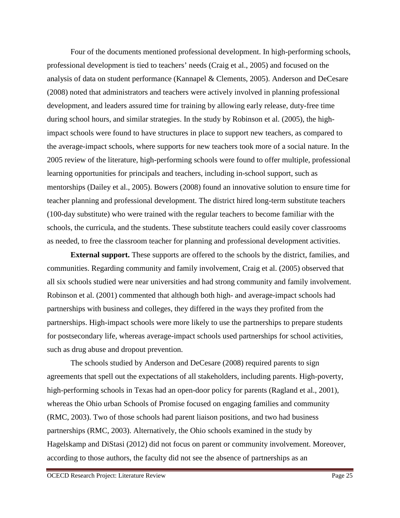Four of the documents mentioned professional development. In high-performing schools, professional development is tied to teachers' needs (Craig et al., 2005) and focused on the analysis of data on student performance (Kannapel & Clements, 2005). Anderson and DeCesare (2008) noted that administrators and teachers were actively involved in planning professional development, and leaders assured time for training by allowing early release, duty-free time during school hours, and similar strategies. In the study by Robinson et al. (2005), the highimpact schools were found to have structures in place to support new teachers, as compared to the average-impact schools, where supports for new teachers took more of a social nature. In the 2005 review of the literature, high-performing schools were found to offer multiple, professional learning opportunities for principals and teachers, including in-school support, such as mentorships (Dailey et al., 2005). Bowers (2008) found an innovative solution to ensure time for teacher planning and professional development. The district hired long-term substitute teachers (100-day substitute) who were trained with the regular teachers to become familiar with the schools, the curricula, and the students. These substitute teachers could easily cover classrooms as needed, to free the classroom teacher for planning and professional development activities.

**External support.** These supports are offered to the schools by the district, families, and communities. Regarding community and family involvement, Craig et al. (2005) observed that all six schools studied were near universities and had strong community and family involvement. Robinson et al. (2001) commented that although both high- and average-impact schools had partnerships with business and colleges, they differed in the ways they profited from the partnerships. High-impact schools were more likely to use the partnerships to prepare students for postsecondary life, whereas average-impact schools used partnerships for school activities, such as drug abuse and dropout prevention.

The schools studied by Anderson and DeCesare (2008) required parents to sign agreements that spell out the expectations of all stakeholders, including parents. High-poverty, high-performing schools in Texas had an open-door policy for parents (Ragland et al., 2001), whereas the Ohio urban Schools of Promise focused on engaging families and community (RMC, 2003). Two of those schools had parent liaison positions, and two had business partnerships (RMC, 2003). Alternatively, the Ohio schools examined in the study by Hagelskamp and DiStasi (2012) did not focus on parent or community involvement. Moreover, according to those authors, the faculty did not see the absence of partnerships as an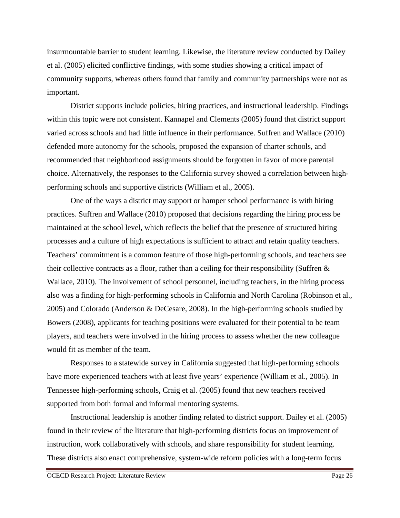insurmountable barrier to student learning. Likewise, the literature review conducted by Dailey et al. (2005) elicited conflictive findings, with some studies showing a critical impact of community supports, whereas others found that family and community partnerships were not as important.

District supports include policies, hiring practices, and instructional leadership. Findings within this topic were not consistent. Kannapel and Clements (2005) found that district support varied across schools and had little influence in their performance. Suffren and Wallace (2010) defended more autonomy for the schools, proposed the expansion of charter schools, and recommended that neighborhood assignments should be forgotten in favor of more parental choice. Alternatively, the responses to the California survey showed a correlation between highperforming schools and supportive districts (William et al., 2005).

One of the ways a district may support or hamper school performance is with hiring practices. Suffren and Wallace (2010) proposed that decisions regarding the hiring process be maintained at the school level, which reflects the belief that the presence of structured hiring processes and a culture of high expectations is sufficient to attract and retain quality teachers. Teachers' commitment is a common feature of those high-performing schools, and teachers see their collective contracts as a floor, rather than a ceiling for their responsibility (Suffren  $\&$ Wallace, 2010). The involvement of school personnel, including teachers, in the hiring process also was a finding for high-performing schools in California and North Carolina (Robinson et al., 2005) and Colorado (Anderson & DeCesare, 2008). In the high-performing schools studied by Bowers (2008), applicants for teaching positions were evaluated for their potential to be team players, and teachers were involved in the hiring process to assess whether the new colleague would fit as member of the team.

Responses to a statewide survey in California suggested that high-performing schools have more experienced teachers with at least five years' experience (William et al., 2005). In Tennessee high-performing schools, Craig et al. (2005) found that new teachers received supported from both formal and informal mentoring systems.

Instructional leadership is another finding related to district support. Dailey et al. (2005) found in their review of the literature that high-performing districts focus on improvement of instruction, work collaboratively with schools, and share responsibility for student learning. These districts also enact comprehensive, system-wide reform policies with a long-term focus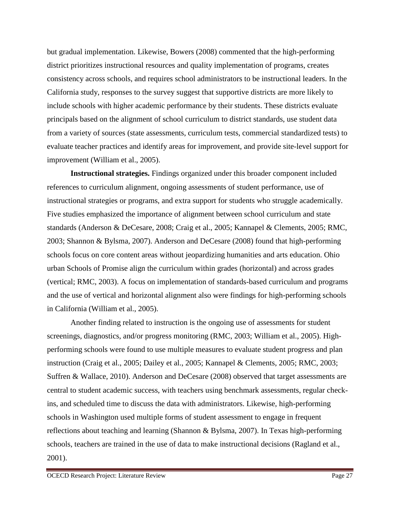but gradual implementation. Likewise, Bowers (2008) commented that the high-performing district prioritizes instructional resources and quality implementation of programs, creates consistency across schools, and requires school administrators to be instructional leaders. In the California study, responses to the survey suggest that supportive districts are more likely to include schools with higher academic performance by their students. These districts evaluate principals based on the alignment of school curriculum to district standards, use student data from a variety of sources (state assessments, curriculum tests, commercial standardized tests) to evaluate teacher practices and identify areas for improvement, and provide site-level support for improvement (William et al., 2005).

**Instructional strategies.** Findings organized under this broader component included references to curriculum alignment, ongoing assessments of student performance, use of instructional strategies or programs, and extra support for students who struggle academically. Five studies emphasized the importance of alignment between school curriculum and state standards (Anderson & DeCesare, 2008; Craig et al., 2005; Kannapel & Clements, 2005; RMC, 2003; Shannon & Bylsma, 2007). Anderson and DeCesare (2008) found that high-performing schools focus on core content areas without jeopardizing humanities and arts education. Ohio urban Schools of Promise align the curriculum within grades (horizontal) and across grades (vertical; RMC, 2003). A focus on implementation of standards-based curriculum and programs and the use of vertical and horizontal alignment also were findings for high-performing schools in California (William et al., 2005).

Another finding related to instruction is the ongoing use of assessments for student screenings, diagnostics, and/or progress monitoring (RMC, 2003; William et al., 2005). Highperforming schools were found to use multiple measures to evaluate student progress and plan instruction (Craig et al., 2005; Dailey et al., 2005; Kannapel & Clements, 2005; RMC, 2003; Suffren & Wallace, 2010). Anderson and DeCesare (2008) observed that target assessments are central to student academic success, with teachers using benchmark assessments, regular checkins, and scheduled time to discuss the data with administrators. Likewise, high-performing schools in Washington used multiple forms of student assessment to engage in frequent reflections about teaching and learning (Shannon & Bylsma, 2007). In Texas high-performing schools, teachers are trained in the use of data to make instructional decisions (Ragland et al., 2001).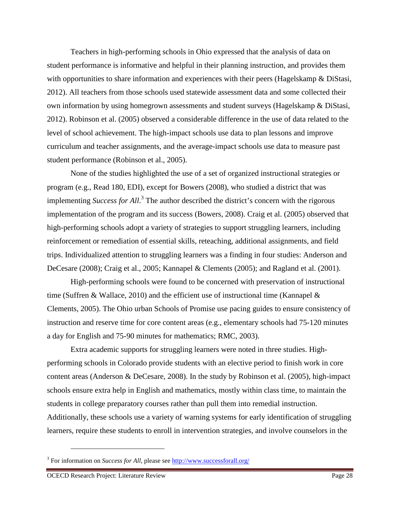Teachers in high-performing schools in Ohio expressed that the analysis of data on student performance is informative and helpful in their planning instruction, and provides them with opportunities to share information and experiences with their peers (Hagelskamp & DiStasi, 2012). All teachers from those schools used statewide assessment data and some collected their own information by using homegrown assessments and student surveys (Hagelskamp & DiStasi, 2012). Robinson et al. (2005) observed a considerable difference in the use of data related to the level of school achievement. The high-impact schools use data to plan lessons and improve curriculum and teacher assignments, and the average-impact schools use data to measure past student performance (Robinson et al., 2005).

None of the studies highlighted the use of a set of organized instructional strategies or program (e.g., Read 180, EDI), except for Bowers (2008), who studied a district that was implementing *Success for All*. 3 The author described the district's concern with the rigorous implementation of the program and its success (Bowers, 2008). Craig et al. (2005) observed that high-performing schools adopt a variety of strategies to support struggling learners, including reinforcement or remediation of essential skills, reteaching, additional assignments, and field trips. Individualized attention to struggling learners was a finding in four studies: Anderson and DeCesare (2008); Craig et al., 2005; Kannapel & Clements (2005); and Ragland et al. (2001).

High-performing schools were found to be concerned with preservation of instructional time (Suffren & Wallace, 2010) and the efficient use of instructional time (Kannapel  $\&$ Clements, 2005). The Ohio urban Schools of Promise use pacing guides to ensure consistency of instruction and reserve time for core content areas (e.g., elementary schools had 75-120 minutes a day for English and 75-90 minutes for mathematics; RMC, 2003).

Extra academic supports for struggling learners were noted in three studies. Highperforming schools in Colorado provide students with an elective period to finish work in core content areas (Anderson & DeCesare, 2008). In the study by Robinson et al. (2005), high-impact schools ensure extra help in English and mathematics, mostly within class time, to maintain the students in college preparatory courses rather than pull them into remedial instruction. Additionally, these schools use a variety of warning systems for early identification of struggling learners, require these students to enroll in intervention strategies, and involve counselors in the

<u>.</u>

<sup>&</sup>lt;sup>3</sup> For information on *Success for All*, please see http://www.successforall.org/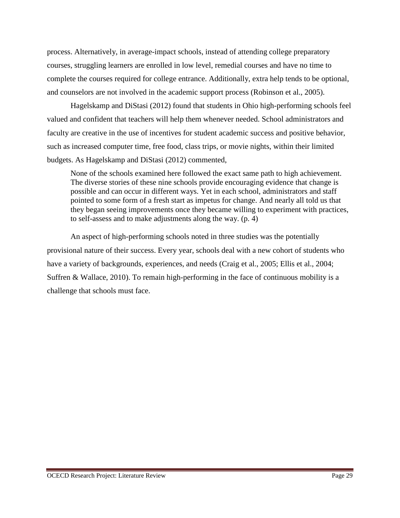process. Alternatively, in average-impact schools, instead of attending college preparatory courses, struggling learners are enrolled in low level, remedial courses and have no time to complete the courses required for college entrance. Additionally, extra help tends to be optional, and counselors are not involved in the academic support process (Robinson et al., 2005).

Hagelskamp and DiStasi (2012) found that students in Ohio high-performing schools feel valued and confident that teachers will help them whenever needed. School administrators and faculty are creative in the use of incentives for student academic success and positive behavior, such as increased computer time, free food, class trips, or movie nights, within their limited budgets. As Hagelskamp and DiStasi (2012) commented,

None of the schools examined here followed the exact same path to high achievement. The diverse stories of these nine schools provide encouraging evidence that change is possible and can occur in different ways. Yet in each school, administrators and staff pointed to some form of a fresh start as impetus for change. And nearly all told us that they began seeing improvements once they became willing to experiment with practices, to self-assess and to make adjustments along the way. (p. 4)

An aspect of high-performing schools noted in three studies was the potentially provisional nature of their success. Every year, schools deal with a new cohort of students who have a variety of backgrounds, experiences, and needs (Craig et al., 2005; Ellis et al., 2004; Suffren & Wallace, 2010). To remain high-performing in the face of continuous mobility is a challenge that schools must face.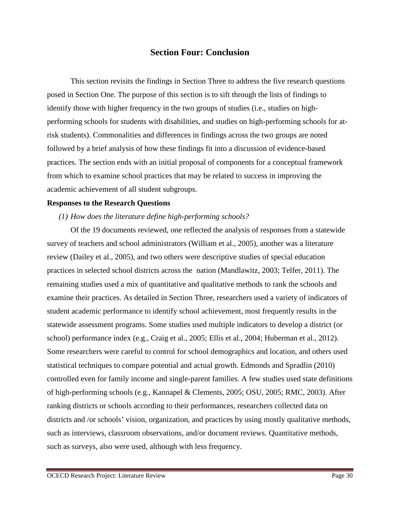## **Section Four: Conclusion**

This section revisits the findings in Section Three to address the five research questions posed in Section One. The purpose of this section is to sift through the lists of findings to identify those with higher frequency in the two groups of studies (i.e., studies on highperforming schools for students with disabilities, and studies on high-performing schools for atrisk students). Commonalities and differences in findings across the two groups are noted followed by a brief analysis of how these findings fit into a discussion of evidence-based practices. The section ends with an initial proposal of components for a conceptual framework from which to examine school practices that may be related to success in improving the academic achievement of all student subgroups.

#### **Responses to the Research Questions**

### *(1) How does the literature define high-performing schools?*

Of the 19 documents reviewed, one reflected the analysis of responses from a statewide survey of teachers and school administrators (William et al., 2005), another was a literature review (Dailey et al., 2005), and two others were descriptive studies of special education practices in selected school districts across the nation (Mandlawitz, 2003; Telfer, 2011). The remaining studies used a mix of quantitative and qualitative methods to rank the schools and examine their practices. As detailed in Section Three, researchers used a variety of indicators of student academic performance to identify school achievement, most frequently results in the statewide assessment programs. Some studies used multiple indicators to develop a district (or school) performance index (e.g., Craig et al., 2005; Ellis et al., 2004; Huberman et al., 2012). Some researchers were careful to control for school demographics and location, and others used statistical techniques to compare potential and actual growth. Edmonds and Spradlin (2010) controlled even for family income and single-parent families. A few studies used state definitions of high-performing schools (e.g., Kannapel & Clements, 2005; OSU, 2005; RMC, 2003). After ranking districts or schools according to their performances, researchers collected data on districts and /or schools' vision, organization, and practices by using mostly qualitative methods, such as interviews, classroom observations, and/or document reviews. Quantitative methods, such as surveys, also were used, although with less frequency.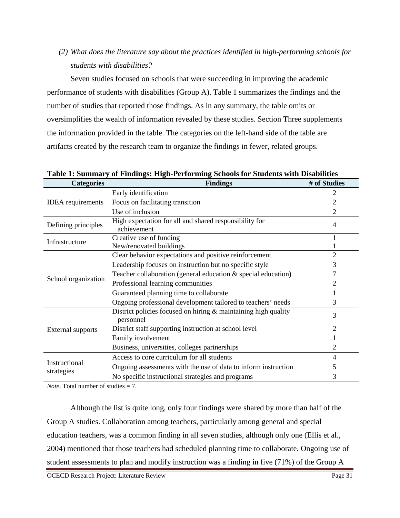*(2) What does the literature say about the practices identified in high-performing schools for students with disabilities?* 

Seven studies focused on schools that were succeeding in improving the academic performance of students with disabilities (Group A). Table 1 summarizes the findings and the number of studies that reported those findings. As in any summary, the table omits or oversimplifies the wealth of information revealed by these studies. Section Three supplements the information provided in the table. The categories on the left-hand side of the table are artifacts created by the research team to organize the findings in fewer, related groups.

**Table 1: Summary of Findings: High-Performing Schools for Students with Disabilities** 

| <b>Categories</b>           | <b>Findings</b>                                                             | # of Studies   |
|-----------------------------|-----------------------------------------------------------------------------|----------------|
| <b>IDEA</b> requirements    | Early identification                                                        |                |
|                             | Focus on facilitating transition                                            |                |
|                             | Use of inclusion                                                            | 2              |
| Defining principles         | High expectation for all and shared responsibility for<br>achievement       | $\overline{4}$ |
| Infrastructure              | Creative use of funding                                                     |                |
|                             | New/renovated buildings                                                     |                |
| School organization         | Clear behavior expectations and positive reinforcement                      | 2              |
|                             | Leadership focuses on instruction but no specific style                     | 3              |
|                             | Teacher collaboration (general education & special education)               |                |
|                             | Professional learning communities                                           |                |
|                             | Guaranteed planning time to collaborate                                     |                |
|                             | Ongoing professional development tailored to teachers' needs                | 3              |
| External supports           | District policies focused on hiring & maintaining high quality<br>personnel | 3              |
|                             | District staff supporting instruction at school level                       |                |
|                             | Family involvement                                                          |                |
|                             | Business, universities, colleges partnerships                               | 2              |
| Instructional<br>strategies | Access to core curriculum for all students                                  | 4              |
|                             | Ongoing assessments with the use of data to inform instruction              |                |
|                             | No specific instructional strategies and programs                           | 3              |

*Note*. Total number of studies = 7.

Although the list is quite long, only four findings were shared by more than half of the Group A studies. Collaboration among teachers, particularly among general and special education teachers, was a common finding in all seven studies, although only one (Ellis et al., 2004) mentioned that those teachers had scheduled planning time to collaborate. Ongoing use of student assessments to plan and modify instruction was a finding in five (71%) of the Group A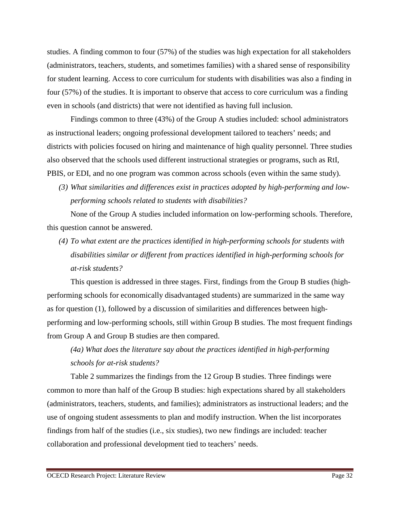studies. A finding common to four (57%) of the studies was high expectation for all stakeholders (administrators, teachers, students, and sometimes families) with a shared sense of responsibility for student learning. Access to core curriculum for students with disabilities was also a finding in four (57%) of the studies. It is important to observe that access to core curriculum was a finding even in schools (and districts) that were not identified as having full inclusion.

Findings common to three (43%) of the Group A studies included: school administrators as instructional leaders; ongoing professional development tailored to teachers' needs; and districts with policies focused on hiring and maintenance of high quality personnel. Three studies also observed that the schools used different instructional strategies or programs, such as RtI, PBIS, or EDI, and no one program was common across schools (even within the same study).

*(3) What similarities and differences exist in practices adopted by high-performing and lowperforming schools related to students with disabilities?* 

None of the Group A studies included information on low-performing schools. Therefore, this question cannot be answered.

*(4) To what extent are the practices identified in high-performing schools for students with disabilities similar or different from practices identified in high-performing schools for at-risk students?*

This question is addressed in three stages. First, findings from the Group B studies (highperforming schools for economically disadvantaged students) are summarized in the same way as for question (1), followed by a discussion of similarities and differences between highperforming and low-performing schools, still within Group B studies. The most frequent findings from Group A and Group B studies are then compared.

# *(4a) What does the literature say about the practices identified in high-performing schools for at-risk students?*

Table 2 summarizes the findings from the 12 Group B studies. Three findings were common to more than half of the Group B studies: high expectations shared by all stakeholders (administrators, teachers, students, and families); administrators as instructional leaders; and the use of ongoing student assessments to plan and modify instruction. When the list incorporates findings from half of the studies (i.e., six studies), two new findings are included: teacher collaboration and professional development tied to teachers' needs.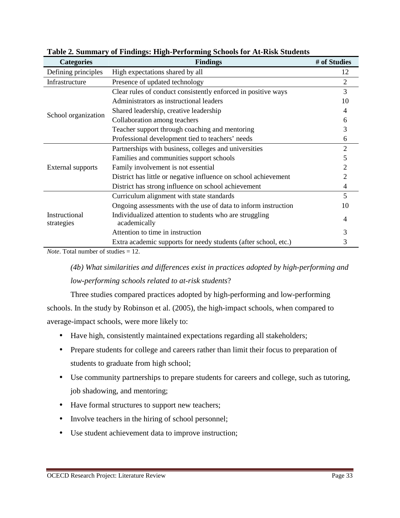| <b>Categories</b>           | <b>Findings</b>                                                         | # of Studies   |
|-----------------------------|-------------------------------------------------------------------------|----------------|
| Defining principles         | High expectations shared by all                                         | 12             |
| Infrastructure              | Presence of updated technology                                          | $\overline{2}$ |
| School organization         | Clear rules of conduct consistently enforced in positive ways           | 3              |
|                             | Administrators as instructional leaders                                 | 10             |
|                             | Shared leadership, creative leadership                                  | 4              |
|                             | Collaboration among teachers                                            | 6              |
|                             | Teacher support through coaching and mentoring                          | 3              |
|                             | Professional development tied to teachers' needs                        | 6              |
| External supports           | Partnerships with business, colleges and universities                   | $\overline{2}$ |
|                             | Families and communities support schools                                | 5              |
|                             | Family involvement is not essential                                     | 2              |
|                             | District has little or negative influence on school achievement         | 2              |
|                             | District has strong influence on school achievement                     | 4              |
| Instructional<br>strategies | Curriculum alignment with state standards                               | 5              |
|                             | Ongoing assessments with the use of data to inform instruction          | 10             |
|                             | Individualized attention to students who are struggling<br>academically | 4              |
|                             | Attention to time in instruction                                        |                |
|                             | Extra academic supports for needy students (after school, etc.)         | 3              |

**Table 2***.* **Summary of Findings: High-Performing Schools for At-Risk Students**

*Note*. Total number of studies = 12.

*(4b) What similarities and differences exist in practices adopted by high-performing and low-performing schools related to at-risk students*?

Three studies compared practices adopted by high-performing and low-performing schools. In the study by Robinson et al. (2005), the high-impact schools, when compared to average-impact schools, were more likely to:

- Have high, consistently maintained expectations regarding all stakeholders;
- Prepare students for college and careers rather than limit their focus to preparation of students to graduate from high school;
- Use community partnerships to prepare students for careers and college, such as tutoring, job shadowing, and mentoring;
- Have formal structures to support new teachers;
- Involve teachers in the hiring of school personnel;
- Use student achievement data to improve instruction;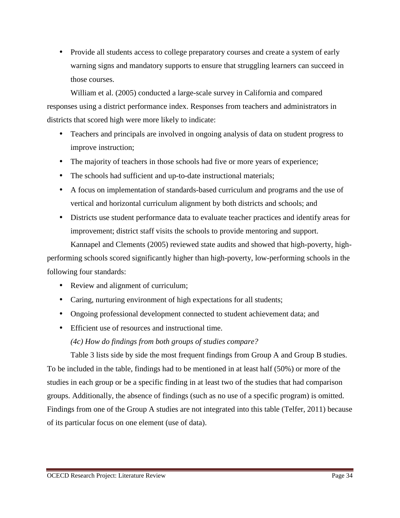• Provide all students access to college preparatory courses and create a system of early warning signs and mandatory supports to ensure that struggling learners can succeed in those courses.

William et al. (2005) conducted a large-scale survey in California and compared responses using a district performance index. Responses from teachers and administrators in districts that scored high were more likely to indicate:

- Teachers and principals are involved in ongoing analysis of data on student progress to improve instruction;
- The majority of teachers in those schools had five or more years of experience;
- The schools had sufficient and up-to-date instructional materials;
- A focus on implementation of standards-based curriculum and programs and the use of vertical and horizontal curriculum alignment by both districts and schools; and
- Districts use student performance data to evaluate teacher practices and identify areas for improvement; district staff visits the schools to provide mentoring and support.

Kannapel and Clements (2005) reviewed state audits and showed that high-poverty, highperforming schools scored significantly higher than high-poverty, low-performing schools in the following four standards:

- Review and alignment of curriculum;
- Caring, nurturing environment of high expectations for all students;
- Ongoing professional development connected to student achievement data; and
- Efficient use of resources and instructional time.

*(4c) How do findings from both groups of studies compare?* 

Table 3 lists side by side the most frequent findings from Group A and Group B studies. To be included in the table, findings had to be mentioned in at least half (50%) or more of the studies in each group or be a specific finding in at least two of the studies that had comparison groups. Additionally, the absence of findings (such as no use of a specific program) is omitted. Findings from one of the Group A studies are not integrated into this table (Telfer, 2011) because of its particular focus on one element (use of data).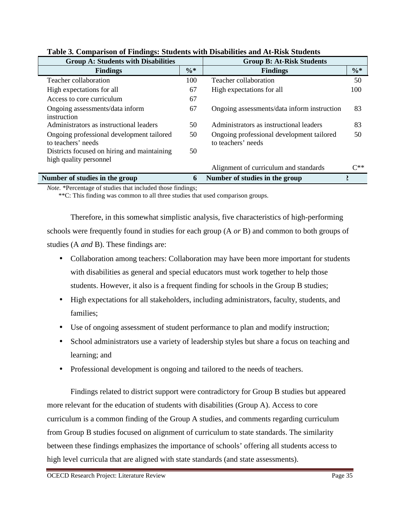| <b>Group A: Students with Disabilities</b>  |        | <b>Group B: At-Risk Students</b>            |          |
|---------------------------------------------|--------|---------------------------------------------|----------|
| <b>Findings</b>                             | $\% *$ | <b>Findings</b>                             | $\% *$   |
| Teacher collaboration                       | 100    | Teacher collaboration                       | 50       |
| High expectations for all                   | 67     | High expectations for all                   | 100      |
| Access to core curriculum                   | 67     |                                             |          |
| Ongoing assessments/data inform             | 67     | Ongoing assessments/data inform instruction | 83       |
| instruction                                 |        |                                             |          |
| Administrators as instructional leaders     | 50     | Administrators as instructional leaders     | 83       |
| Ongoing professional development tailored   | 50     | Ongoing professional development tailored   | 50       |
| to teachers' needs                          |        | to teachers' needs                          |          |
| Districts focused on hiring and maintaining | 50     |                                             |          |
| high quality personnel                      |        |                                             |          |
|                                             |        | Alignment of curriculum and standards       | $C^{**}$ |
| Number of studies in the group              | 6      | Number of studies in the group              |          |

# **Table 3***.* **Comparison of Findings: Students with Disabilities and At-Risk Students**

*Note.* \*Percentage of studies that included those findings;

\*\*C: This finding was common to all three studies that used comparison groups.

Therefore, in this somewhat simplistic analysis, five characteristics of high-performing schools were frequently found in studies for each group (A *or* B) and common to both groups of studies (A *and* B). These findings are:

- Collaboration among teachers: Collaboration may have been more important for students with disabilities as general and special educators must work together to help those students. However, it also is a frequent finding for schools in the Group B studies;
- High expectations for all stakeholders, including administrators, faculty, students, and families;
- Use of ongoing assessment of student performance to plan and modify instruction;
- School administrators use a variety of leadership styles but share a focus on teaching and learning; and
- Professional development is ongoing and tailored to the needs of teachers.

Findings related to district support were contradictory for Group B studies but appeared more relevant for the education of students with disabilities (Group A). Access to core curriculum is a common finding of the Group A studies, and comments regarding curriculum from Group B studies focused on alignment of curriculum to state standards. The similarity between these findings emphasizes the importance of schools' offering all students access to high level curricula that are aligned with state standards (and state assessments).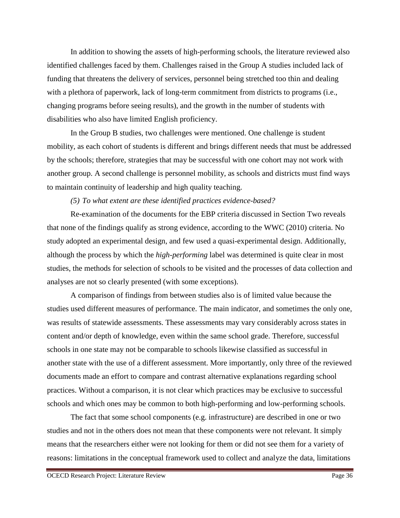In addition to showing the assets of high-performing schools, the literature reviewed also identified challenges faced by them. Challenges raised in the Group A studies included lack of funding that threatens the delivery of services, personnel being stretched too thin and dealing with a plethora of paperwork, lack of long-term commitment from districts to programs (i.e., changing programs before seeing results), and the growth in the number of students with disabilities who also have limited English proficiency.

In the Group B studies, two challenges were mentioned. One challenge is student mobility, as each cohort of students is different and brings different needs that must be addressed by the schools; therefore, strategies that may be successful with one cohort may not work with another group. A second challenge is personnel mobility, as schools and districts must find ways to maintain continuity of leadership and high quality teaching.

*(5) To what extent are these identified practices evidence-based?* 

Re-examination of the documents for the EBP criteria discussed in Section Two reveals that none of the findings qualify as strong evidence, according to the WWC (2010) criteria. No study adopted an experimental design, and few used a quasi-experimental design. Additionally, although the process by which the *high-performing* label was determined is quite clear in most studies, the methods for selection of schools to be visited and the processes of data collection and analyses are not so clearly presented (with some exceptions).

A comparison of findings from between studies also is of limited value because the studies used different measures of performance. The main indicator, and sometimes the only one, was results of statewide assessments. These assessments may vary considerably across states in content and/or depth of knowledge, even within the same school grade. Therefore, successful schools in one state may not be comparable to schools likewise classified as successful in another state with the use of a different assessment. More importantly, only three of the reviewed documents made an effort to compare and contrast alternative explanations regarding school practices. Without a comparison, it is not clear which practices may be exclusive to successful schools and which ones may be common to both high-performing and low-performing schools.

The fact that some school components (e.g. infrastructure) are described in one or two studies and not in the others does not mean that these components were not relevant. It simply means that the researchers either were not looking for them or did not see them for a variety of reasons: limitations in the conceptual framework used to collect and analyze the data, limitations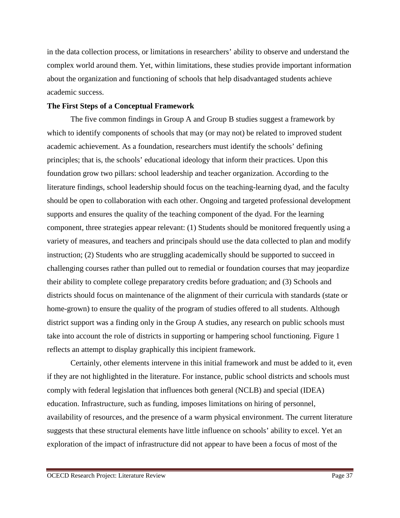in the data collection process, or limitations in researchers' ability to observe and understand the complex world around them. Yet, within limitations, these studies provide important information about the organization and functioning of schools that help disadvantaged students achieve academic success.

### **The First Steps of a Conceptual Framework**

The five common findings in Group A and Group B studies suggest a framework by which to identify components of schools that may (or may not) be related to improved student academic achievement. As a foundation, researchers must identify the schools' defining principles; that is, the schools' educational ideology that inform their practices. Upon this foundation grow two pillars: school leadership and teacher organization. According to the literature findings, school leadership should focus on the teaching-learning dyad, and the faculty should be open to collaboration with each other. Ongoing and targeted professional development supports and ensures the quality of the teaching component of the dyad. For the learning component, three strategies appear relevant: (1) Students should be monitored frequently using a variety of measures, and teachers and principals should use the data collected to plan and modify instruction; (2) Students who are struggling academically should be supported to succeed in challenging courses rather than pulled out to remedial or foundation courses that may jeopardize their ability to complete college preparatory credits before graduation; and (3) Schools and districts should focus on maintenance of the alignment of their curricula with standards (state or home-grown) to ensure the quality of the program of studies offered to all students. Although district support was a finding only in the Group A studies, any research on public schools must take into account the role of districts in supporting or hampering school functioning. Figure 1 reflects an attempt to display graphically this incipient framework.

Certainly, other elements intervene in this initial framework and must be added to it, even if they are not highlighted in the literature. For instance, public school districts and schools must comply with federal legislation that influences both general (NCLB) and special (IDEA) education. Infrastructure, such as funding, imposes limitations on hiring of personnel, availability of resources, and the presence of a warm physical environment. The current literature suggests that these structural elements have little influence on schools' ability to excel. Yet an exploration of the impact of infrastructure did not appear to have been a focus of most of the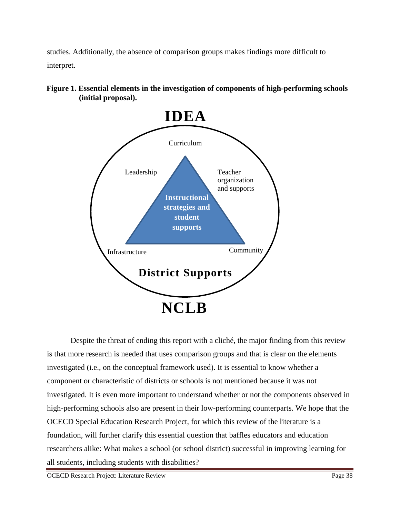studies. Additionally, the absence of comparison groups makes findings more difficult to interpret.



**Figure 1. Essential elements in the investigation of components of high-performing schools (initial proposal).** 

Despite the threat of ending this report with a cliché, the major finding from this review is that more research is needed that uses comparison groups and that is clear on the elements investigated (i.e., on the conceptual framework used). It is essential to know whether a component or characteristic of districts or schools is not mentioned because it was not investigated. It is even more important to understand whether or not the components observed in high-performing schools also are present in their low-performing counterparts. We hope that the OCECD Special Education Research Project, for which this review of the literature is a foundation, will further clarify this essential question that baffles educators and education researchers alike: What makes a school (or school district) successful in improving learning for all students, including students with disabilities?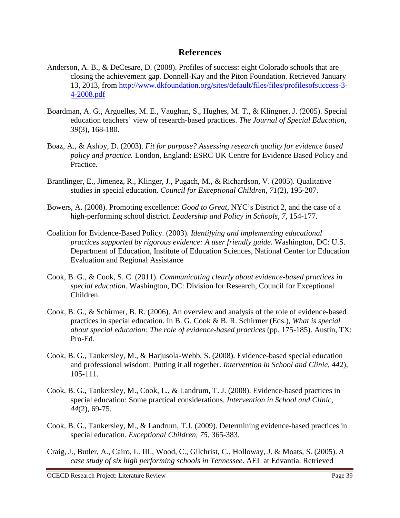# **References**

- Anderson, A. B., & DeCesare, D. (2008). Profiles of success: eight Colorado schools that are closing the achievement gap*.* Donnell-Kay and the Piton Foundation. Retrieved January 13, 2013, from http://www.dkfoundation.org/sites/default/files/files/profilesofsuccess-3- 4-2008.pdf
- Boardman, A. G., Arguelles, M. E., Vaughan, S., Hughes, M. T., & Klingner, J. (2005). Special education teachers' view of research-based practices. *The Journal of Special Education*, *39*(3), 168-180.
- Boaz, A., & Ashby, D. (2003). *Fit for purpose? Assessing research quality for evidence based policy and practice.* London, England: ESRC UK Centre for Evidence Based Policy and Practice.
- Brantlinger, E., Jimenez, R., Klinger, J., Pugach, M., & Richardson, V. (2005). Qualitative studies in special education. *Council for Exceptional Children, 71*(2), 195-207.
- Bowers, A. (2008). Promoting excellence: *Good to Great*, NYC's District 2, and the case of a high-performing school district. *Leadership and Policy in Schools, 7,* 154-177.
- Coalition for Evidence-Based Policy. (2003). *Identifying and implementing educational practices supported by rigorous evidence: A user friendly guide*. Washington, DC: U.S. Department of Education, Institute of Education Sciences, National Center for Education Evaluation and Regional Assistance
- Cook, B. G., & Cook, S. C. (2011). *Communicating clearly about evidence-based practices in special education*. Washington, DC: Division for Research, Council for Exceptional Children.
- Cook, B. G., & Schirmer, B. R. (2006). An overview and analysis of the role of evidence-based practices in special education. In B. G. Cook & B. R. Schirmer (Eds.), *What is special about special education: The role of evidence-based practices* (pp. 175-185). Austin, TX: Pro-Ed.
- Cook, B. G., Tankersley, M., & Harjusola-Webb, S. (2008). Evidence-based special education and professional wisdom: Putting it all together. *Intervention in School and Clinic, 44*2), 105-111.
- Cook, B. G., Tankersley, M., Cook, L., & Landrum, T. J. (2008). Evidence-based practices in special education: Some practical considerations. *Intervention in School and Clinic, 44*(2), 69-75.
- Cook, B. G., Tankersley, M., & Landrum, T.J. (2009). Determining evidence-based practices in special education. *Exceptional Children*, *75*, 365-383.
- Craig, J., Butler, A., Cairo, L. III., Wood, C., Gilchrist, C., Holloway, J. & Moats, S. (2005). *A case study of six high performing schools in Tennessee*. AEL at Edvantia. Retrieved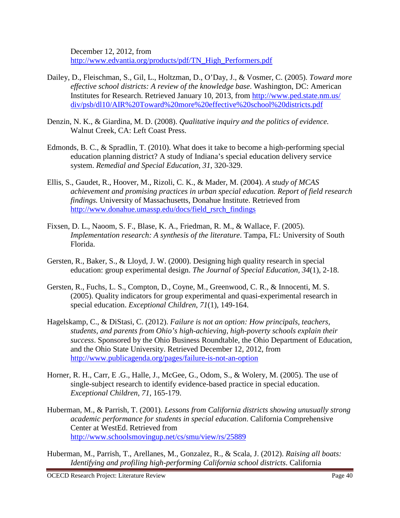December 12, 2012, from http://www.edvantia.org/products/pdf/TN\_High\_Performers.pdf

- Dailey, D., Fleischman, S., Gil, L., Holtzman, D., O'Day, J., & Vosmer, C. (2005). *Toward more effective school districts: A review of the knowledge base*. Washington, DC: American Institutes for Research. Retrieved January 10, 2013, from http://www.ped.state.nm.us/ div/psb/dl10/AIR%20Toward%20more%20effective%20school%20districts.pdf
- Denzin, N. K., & Giardina, M. D. (2008). *Qualitative inquiry and the politics of evidence.* Walnut Creek, CA: Left Coast Press.
- Edmonds, B. C., & Spradlin, T. (2010). What does it take to become a high-performing special education planning district? A study of Indiana's special education delivery service system. *Remedial and Special Education*, *31*, 320-329.
- Ellis, S., Gaudet, R., Hoover, M., Rizoli, C. K., & Mader, M. (2004). *A study of MCAS achievement and promising practices in urban special education. Report of field research findings.* University of Massachusetts, Donahue Institute. Retrieved from http://www.donahue.umassp.edu/docs/field\_rsrch\_findings
- Fixsen, D. L., Naoom, S. F., Blase, K. A., Friedman, R. M., & Wallace, F. (2005). *Implementation research: A synthesis of the literature*. Tampa, FL: University of South Florida.
- Gersten, R., Baker, S., & Lloyd, J. W. (2000). Designing high quality research in special education: group experimental design. *The Journal of Special Education, 34*(1), 2-18.
- Gersten, R., Fuchs, L. S., Compton, D., Coyne, M., Greenwood, C. R., & Innocenti, M. S. (2005). Quality indicators for group experimental and quasi-experimental research in special education. *Exceptional Children*, *71*(1), 149-164.
- Hagelskamp, C., & DiStasi, C. (2012). *Failure is not an option: How principals, teachers, students, and parents from Ohio's high-achieving, high-poverty schools explain their success*. Sponsored by the Ohio Business Roundtable, the Ohio Department of Education, and the Ohio State University. Retrieved December 12, 2012, from http://www.publicagenda.org/pages/failure-is-not-an-option
- Horner, R. H., Carr, E .G., Halle, J., McGee, G., Odom, S., & Wolery, M. (2005). The use of single-subject research to identify evidence-based practice in special education. *Exceptional Children*, *71*, 165-179.
- Huberman, M., & Parrish, T. (2001). *Lessons from California districts showing unusually strong academic performance for students in special education*. California Comprehensive Center at WestEd. Retrieved from http://www.schoolsmovingup.net/cs/smu/view/rs/25889
- Huberman, M., Parrish, T., Arellanes, M., Gonzalez, R., & Scala, J. (2012). *Raising all boats: Identifying and profiling high-performing California school districts*. California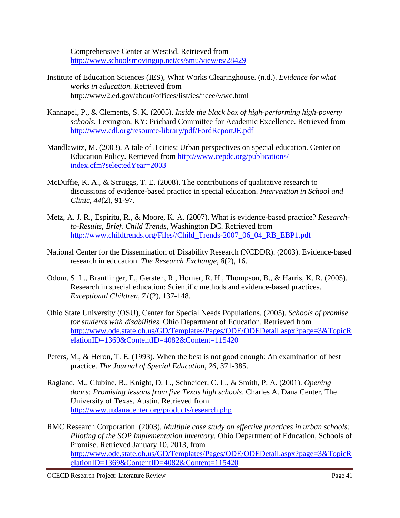Comprehensive Center at WestEd. Retrieved from http://www.schoolsmovingup.net/cs/smu/view/rs/28429

- Institute of Education Sciences (IES), What Works Clearinghouse. (n.d.). *Evidence for what works in education*. Retrieved from http://www2.ed.gov/about/offices/list/ies/ncee/wwc.html
- Kannapel, P., & Clements, S. K. (2005). *Inside the black box of high-performing high-poverty schools.* Lexington, KY: Prichard Committee for Academic Excellence. Retrieved from http://www.cdl.org/resource-library/pdf/FordReportJE.pdf
- Mandlawitz, M. (2003). A tale of 3 cities: Urban perspectives on special education. Center on Education Policy. Retrieved from http://www.cepdc.org/publications/ index.cfm?selectedYear=2003
- McDuffie, K. A., & Scruggs, T. E. (2008). The contributions of qualitative research to discussions of evidence-based practice in special education. *Intervention in School and Clinic, 44*(2), 91-97.
- Metz, A. J. R., Espiritu, R., & Moore, K. A. (2007). What is evidence-based practice? *Researchto-Results, Brief. Child Trends,* Washington DC. Retrieved from http://www.childtrends.org/Files//Child\_Trends-2007\_06\_04\_RB\_EBP1.pdf
- National Center for the Dissemination of Disability Research (NCDDR). (2003). Evidence-based research in education. *The Research Exchange, 8*(2), 16.
- Odom, S. L., Brantlinger, E., Gersten, R., Horner, R. H., Thompson, B., & Harris, K. R. (2005). Research in special education: Scientific methods and evidence-based practices. *Exceptional Children*, *71*(2), 137-148.
- Ohio State University (OSU), Center for Special Needs Populations. (2005). *Schools of promise for students with disabilities.* Ohio Department of Education. Retrieved from http://www.ode.state.oh.us/GD/Templates/Pages/ODE/ODEDetail.aspx?page=3&TopicR elationID=1369&ContentID=4082&Content=115420
- Peters, M., & Heron, T. E. (1993). When the best is not good enough: An examination of best practice. *The Journal of Special Education*, *26*, 371-385.
- Ragland, M., Clubine, B., Knight, D. L., Schneider, C. L., & Smith, P. A. (2001). *Opening doors: Promising lessons from five Texas high schools*. Charles A. Dana Center, The University of Texas, Austin. Retrieved from http://www.utdanacenter.org/products/research.php
- RMC Research Corporation. (2003). *Multiple case study on effective practices in urban schools: Piloting of the SOP implementation inventory.* Ohio Department of Education, Schools of Promise. Retrieved January 10, 2013, from http://www.ode.state.oh.us/GD/Templates/Pages/ODE/ODEDetail.aspx?page=3&TopicR elationID=1369&ContentID=4082&Content=115420